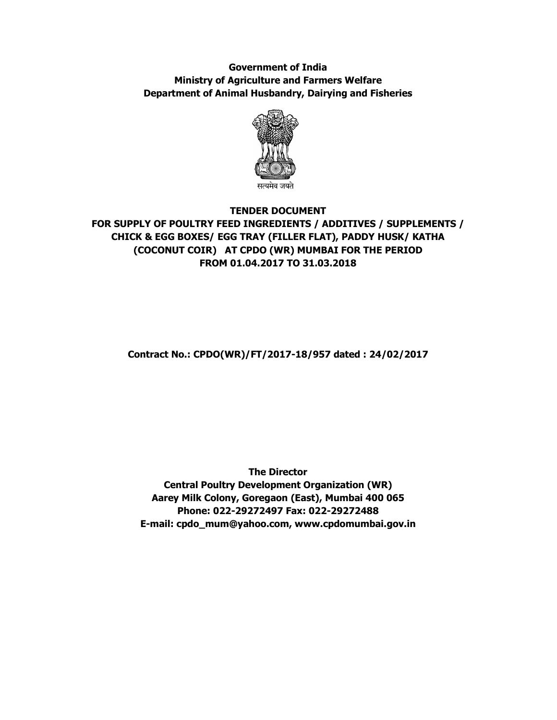# **Government of India Ministry of Agriculture and Farmers Welfare Department of Animal Husbandry, Dairying and Fisheries**



# **TENDER DOCUMENT FOR SUPPLY OF POULTRY FEED INGREDIENTS / ADDITIVES / SUPPLEMENTS / CHICK & EGG BOXES/ EGG TRAY (FILLER FLAT), PADDY HUSK/ KATHA (COCONUT COIR) AT CPDO (WR) MUMBAI FOR THE PERIOD FROM 01.04.2017 TO 31.03.2018**

**Contract No.: CPDO(WR)/FT/2017-18/957 dated : 24/02/2017** 

**The Director Central Poultry Development Organization (WR) Aarey Milk Colony, Goregaon (East), Mumbai 400 065 Phone: 022-29272497 Fax: 022-29272488 E-mail: cpdo\_mum@yahoo.com, www.cpdomumbai.gov.in**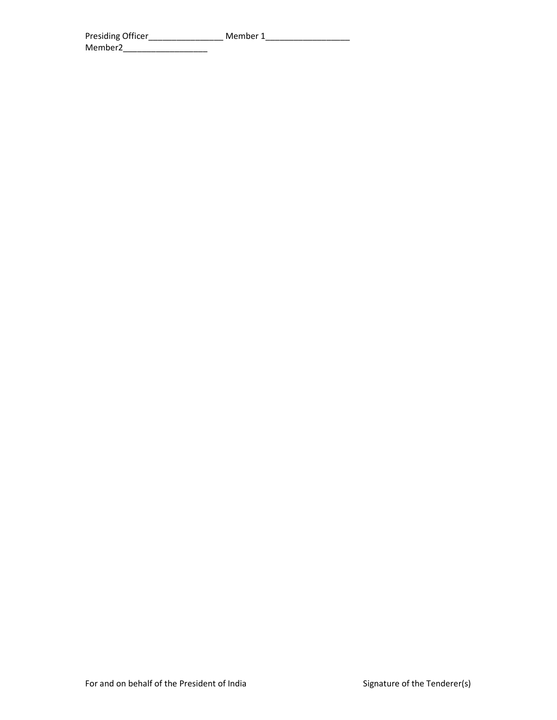| Presiding Officer   | Member 1 |  |
|---------------------|----------|--|
| Member <sub>2</sub> |          |  |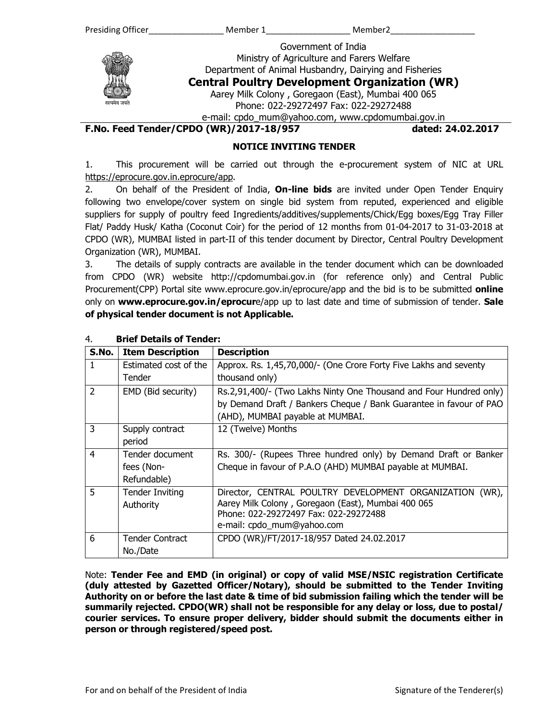Government of India Ministry of Agriculture and Farers Welfare

Department of Animal Husbandry, Dairying and Fisheries **Central Poultry Development Organization (WR)** 

Aarey Milk Colony , Goregaon (East), Mumbai 400 065

Phone: 022-29272497 Fax: 022-29272488

e-mail: cpdo\_mum@yahoo.com, www.cpdomumbai.gov.in

**F.No. Feed Tender/CPDO (WR)/2017-18/957 dated: 24.02.2017** 

## **NOTICE INVITING TENDER**

1. This procurement will be carried out through the e-procurement system of NIC at URL https://eprocure.gov.in.eprocure/app.

2. On behalf of the President of India, **On-line bids** are invited under Open Tender Enquiry following two envelope/cover system on single bid system from reputed, experienced and eligible suppliers for supply of poultry feed Ingredients/additives/supplements/Chick/Egg boxes/Egg Tray Filler Flat/ Paddy Husk/ Katha (Coconut Coir) for the period of 12 months from 01-04-2017 to 31-03-2018 at CPDO (WR), MUMBAI listed in part-II of this tender document by Director, Central Poultry Development Organization (WR), MUMBAI.

3. The details of supply contracts are available in the tender document which can be downloaded from CPDO (WR) website http://cpdomumbai.gov.in (for reference only) and Central Public Procurement(CPP) Portal site www.eprocure.gov.in/eprocure/app and the bid is to be submitted **online**  only on **www.eprocure.gov.in/eprocur**e/app up to last date and time of submission of tender. **Sale of physical tender document is not Applicable.** 

| S.No.          | <b>Item Description</b> | <b>Description</b>                                                  |
|----------------|-------------------------|---------------------------------------------------------------------|
|                | Estimated cost of the   | Approx. Rs. 1,45,70,000/- (One Crore Forty Five Lakhs and seventy   |
|                | Tender                  | thousand only)                                                      |
| $\overline{2}$ | EMD (Bid security)      | Rs.2,91,400/- (Two Lakhs Ninty One Thousand and Four Hundred only)  |
|                |                         | by Demand Draft / Bankers Cheque / Bank Guarantee in favour of PAO  |
|                |                         | (AHD), MUMBAI payable at MUMBAI.                                    |
| 3              | Supply contract         | 12 (Twelve) Months                                                  |
|                | period                  |                                                                     |
| $\overline{4}$ | Tender document         | Rs. 300/- (Rupees Three hundred only) by Demand Draft or Banker     |
|                | fees (Non-              | Cheque in favour of P.A.O (AHD) MUMBAI payable at MUMBAI.           |
|                | Refundable)             |                                                                     |
| 5              | <b>Tender Inviting</b>  | Director, CENTRAL POULTRY DEVELOPMENT ORGANIZATION<br>$(WR)$ ,      |
|                | Authority               | Aarey Milk Colony, Goregaon (East), Mumbai 400 065                  |
|                |                         | Phone: 022-29272497 Fax: 022-29272488<br>e-mail: cpdo mum@yahoo.com |
|                |                         |                                                                     |
| 6              | <b>Tender Contract</b>  | CPDO (WR)/FT/2017-18/957 Dated 24.02.2017                           |
|                | No./Date                |                                                                     |

## 4. **Brief Details of Tender:**

Note: **Tender Fee and EMD (in original) or copy of valid MSE/NSIC registration Certificate (duly attested by Gazetted Officer/Notary), should be submitted to the Tender Inviting Authority on or before the last date & time of bid submission failing which the tender will be summarily rejected. CPDO(WR) shall not be responsible for any delay or loss, due to postal/ courier services. To ensure proper delivery, bidder should submit the documents either in person or through registered/speed post.**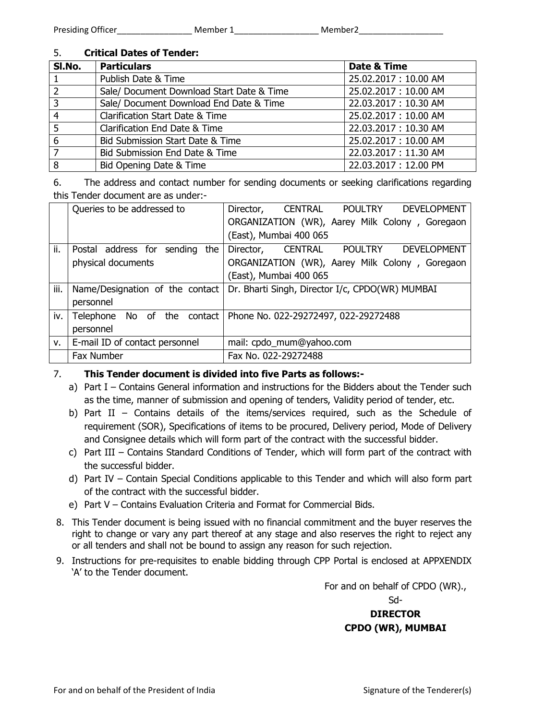# 5. **Critical Dates of Tender:**

| SI.No. | <b>Particulars</b>                        | Date & Time          |
|--------|-------------------------------------------|----------------------|
|        | Publish Date & Time                       | 25.02.2017: 10.00 AM |
|        | Sale/ Document Download Start Date & Time | 25.02.2017: 10.00 AM |
| 3      | Sale/ Document Download End Date & Time   | 22.03.2017: 10.30 AM |
| 4      | Clarification Start Date & Time           | 25.02.2017: 10.00 AM |
| 5      | Clarification End Date & Time             | 22.03.2017: 10.30 AM |
| 6      | Bid Submission Start Date & Time          | 25.02.2017: 10.00 AM |
|        | Bid Submission End Date & Time            | 22.03.2017: 11.30 AM |
| 8      | Bid Opening Date & Time                   | 22.03.2017: 12.00 PM |

6. The address and contact number for sending documents or seeking clarifications regarding this Tender document are as under:-

|             | Queries to be addressed to        | CENTRAL POULTRY DEVELOPMENT<br>Director,        |
|-------------|-----------------------------------|-------------------------------------------------|
|             |                                   | ORGANIZATION (WR), Aarey Milk Colony, Goregaon  |
|             |                                   | (East), Mumbai 400 065                          |
| ii.         | Postal address for<br>sending the | POULTRY DEVELOPMENT<br>Director, CENTRAL        |
|             | physical documents                | ORGANIZATION (WR), Aarey Milk Colony, Goregaon  |
|             |                                   | (East), Mumbai 400 065                          |
| iii.        | Name/Designation of the contact   | Dr. Bharti Singh, Director I/c, CPDO(WR) MUMBAI |
|             | personnel                         |                                                 |
| iv.         | No of the<br>contact<br>Telephone | Phone No. 022-29272497, 022-29272488            |
|             | personnel                         |                                                 |
| $V_{\rm i}$ | E-mail ID of contact personnel    | mail: cpdo_mum@yahoo.com                        |
|             | Fax Number                        | Fax No. 022-29272488                            |

# 7. **This Tender document is divided into five Parts as follows:-**

- a) Part I Contains General information and instructions for the Bidders about the Tender such as the time, manner of submission and opening of tenders, Validity period of tender, etc.
- b) Part II Contains details of the items/services required, such as the Schedule of requirement (SOR), Specifications of items to be procured, Delivery period, Mode of Delivery and Consignee details which will form part of the contract with the successful bidder.
- c) Part III Contains Standard Conditions of Tender, which will form part of the contract with the successful bidder.
- d) Part IV Contain Special Conditions applicable to this Tender and which will also form part of the contract with the successful bidder.
- e) Part V Contains Evaluation Criteria and Format for Commercial Bids.
- 8. This Tender document is being issued with no financial commitment and the buyer reserves the right to change or vary any part thereof at any stage and also reserves the right to reject any or all tenders and shall not be bound to assign any reason for such rejection.
- 9. Instructions for pre-requisites to enable bidding through CPP Portal is enclosed at APPXENDIX 'A' to the Tender document.

For and on behalf of CPDO (WR).,

Sd-

# **DIRECTOR CPDO (WR), MUMBAI**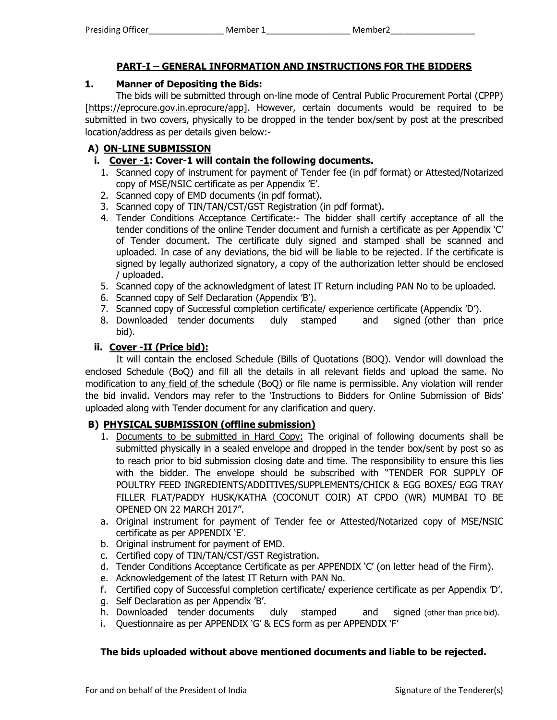# **PART-I – GENERAL INFORMATION AND INSTRUCTIONS FOR THE BIDDERS**

# **1. Manner of Depositing the Bids:**

The bids will be submitted through on-line mode of Central Public Procurement Portal (CPPP) [https://eprocure.gov.in.eprocure/app]. However, certain documents would be required to be submitted in two covers, physically to be dropped in the tender box/sent by post at the prescribed location/address as per details given below:-

# **A) ON-LINE SUBMISSION**

- **i. Cover -1: Cover-1 will contain the following documents.** 
	- 1. Scanned copy of instrument for payment of Tender fee (in pdf format) or Attested/Notarized copy of MSE/NSIC certificate as per Appendix 'E'.
	- 2. Scanned copy of EMD documents (in pdf format).
	- 3. Scanned copy of TIN/TAN/CST/GST Registration (in pdf format).
	- 4. Tender Conditions Acceptance Certificate:- The bidder shall certify acceptance of all the tender conditions of the online Tender document and furnish a certificate as per Appendix 'C' of Tender document. The certificate duly signed and stamped shall be scanned and uploaded. In case of any deviations, the bid will be liable to be rejected. If the certificate is signed by legally authorized signatory, a copy of the authorization letter should be enclosed / uploaded.
	- 5. Scanned copy of the acknowledgment of latest IT Return including PAN No to be uploaded.
	- 6. Scanned copy of Self Declaration (Appendix 'B').
	- 7. Scanned copy of Successful completion certificate/ experience certificate (Appendix 'D').
	- 8. Downloaded tender documents duly stamped and signed (other than price bid).

## **ii. Cover -II (Price bid):**

 It will contain the enclosed Schedule (Bills of Quotations (BOQ). Vendor will download the enclosed Schedule (BoQ) and fill all the details in all relevant fields and upload the same. No modification to any field of the schedule (BoQ) or file name is permissible. Any violation will render the bid invalid. Vendors may refer to the 'Instructions to Bidders for Online Submission of Bids' uploaded along with Tender document for any clarification and query.

# **B) PHYSICAL SUBMISSION (offline submission)**

- 1. Documents to be submitted in Hard Copy: The original of following documents shall be submitted physically in a sealed envelope and dropped in the tender box/sent by post so as to reach prior to bid submission closing date and time. The responsibility to ensure this lies with the bidder. The envelope should be subscribed with "TENDER FOR SUPPLY OF POULTRY FEED INGREDIENTS/ADDITIVES/SUPPLEMENTS/CHICK & EGG BOXES/ EGG TRAY FILLER FLAT/PADDY HUSK/KATHA (COCONUT COIR) AT CPDO (WR) MUMBAI TO BE OPENED ON 22 MARCH 2017".
- a. Original instrument for payment of Tender fee or Attested/Notarized copy of MSE/NSIC certificate as per APPENDIX 'E'.
- b. Original instrument for payment of EMD.
- c. Certified copy of TIN/TAN/CST/GST Registration.
- d. Tender Conditions Acceptance Certificate as per APPENDIX 'C' (on letter head of the Firm).
- e. Acknowledgement of the latest IT Return with PAN No.
- f. Certified copy of Successful completion certificate/ experience certificate as per Appendix 'D'.
- g. Self Declaration as per Appendix 'B'.
- h. Downloaded tender documents duly stamped and signed (other than price bid).
- i. Questionnaire as per APPENDIX 'G' & ECS form as per APPENDIX 'F'

## **The bids uploaded without above mentioned documents and liable to be rejected.**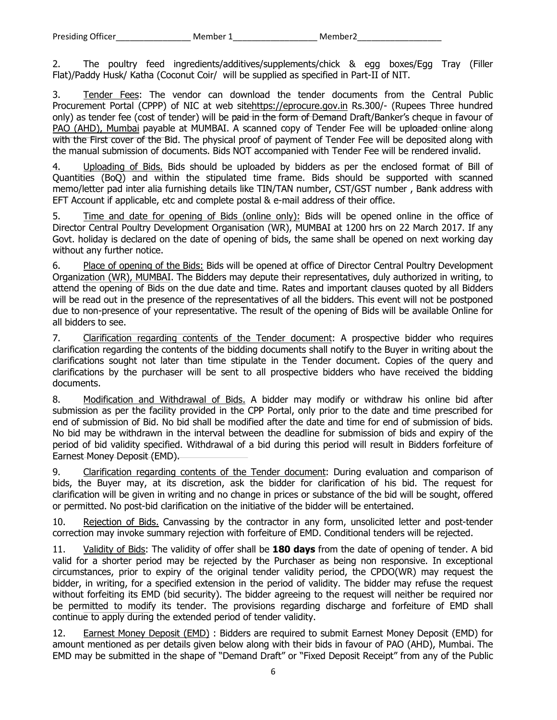2. The poultry feed ingredients/additives/supplements/chick & egg boxes/Egg Tray (Filler Flat)/Paddy Husk/ Katha (Coconut Coir/ will be supplied as specified in Part-II of NIT.

3. Tender Fees: The vendor can download the tender documents from the Central Public Procurement Portal (CPPP) of NIC at web sitehttps://eprocure.gov.in Rs.300/- (Rupees Three hundred only) as tender fee (cost of tender) will be paid in the form of Demand Draft/Banker's cheque in favour of PAO (AHD), Mumbai payable at MUMBAI. A scanned copy of Tender Fee will be uploaded online along with the First cover of the Bid. The physical proof of payment of Tender Fee will be deposited along with the manual submission of documents. Bids NOT accompanied with Tender Fee will be rendered invalid.

4. Uploading of Bids. Bids should be uploaded by bidders as per the enclosed format of Bill of Quantities (BoQ) and within the stipulated time frame. Bids should be supported with scanned memo/letter pad inter alia furnishing details like TIN/TAN number, CST/GST number , Bank address with EFT Account if applicable, etc and complete postal & e-mail address of their office.

5. Time and date for opening of Bids (online only): Bids will be opened online in the office of Director Central Poultry Development Organisation (WR), MUMBAI at 1200 hrs on 22 March 2017. If any Govt. holiday is declared on the date of opening of bids, the same shall be opened on next working day without any further notice.

6. Place of opening of the Bids: Bids will be opened at office of Director Central Poultry Development Organization (WR), MUMBAI. The Bidders may depute their representatives, duly authorized in writing, to attend the opening of Bids on the due date and time. Rates and important clauses quoted by all Bidders will be read out in the presence of the representatives of all the bidders. This event will not be postponed due to non-presence of your representative. The result of the opening of Bids will be available Online for all bidders to see.

7. Clarification regarding contents of the Tender document: A prospective bidder who requires clarification regarding the contents of the bidding documents shall notify to the Buyer in writing about the clarifications sought not later than time stipulate in the Tender document. Copies of the query and clarifications by the purchaser will be sent to all prospective bidders who have received the bidding documents.

8. Modification and Withdrawal of Bids. A bidder may modify or withdraw his online bid after submission as per the facility provided in the CPP Portal, only prior to the date and time prescribed for end of submission of Bid. No bid shall be modified after the date and time for end of submission of bids. No bid may be withdrawn in the interval between the deadline for submission of bids and expiry of the period of bid validity specified. Withdrawal of a bid during this period will result in Bidders forfeiture of Earnest Money Deposit (EMD).

9. Clarification regarding contents of the Tender document: During evaluation and comparison of bids, the Buyer may, at its discretion, ask the bidder for clarification of his bid. The request for clarification will be given in writing and no change in prices or substance of the bid will be sought, offered or permitted. No post-bid clarification on the initiative of the bidder will be entertained.

10. Rejection of Bids. Canvassing by the contractor in any form, unsolicited letter and post-tender correction may invoke summary rejection with forfeiture of EMD. Conditional tenders will be rejected.

11. Validity of Bids: The validity of offer shall be **180 days** from the date of opening of tender. A bid valid for a shorter period may be rejected by the Purchaser as being non responsive. In exceptional circumstances, prior to expiry of the original tender validity period, the CPDO(WR) may request the bidder, in writing, for a specified extension in the period of validity. The bidder may refuse the request without forfeiting its EMD (bid security). The bidder agreeing to the request will neither be required nor be permitted to modify its tender. The provisions regarding discharge and forfeiture of EMD shall continue to apply during the extended period of tender validity.

12. Earnest Money Deposit (EMD) : Bidders are required to submit Earnest Money Deposit (EMD) for amount mentioned as per details given below along with their bids in favour of PAO (AHD), Mumbai. The EMD may be submitted in the shape of "Demand Draft" or "Fixed Deposit Receipt" from any of the Public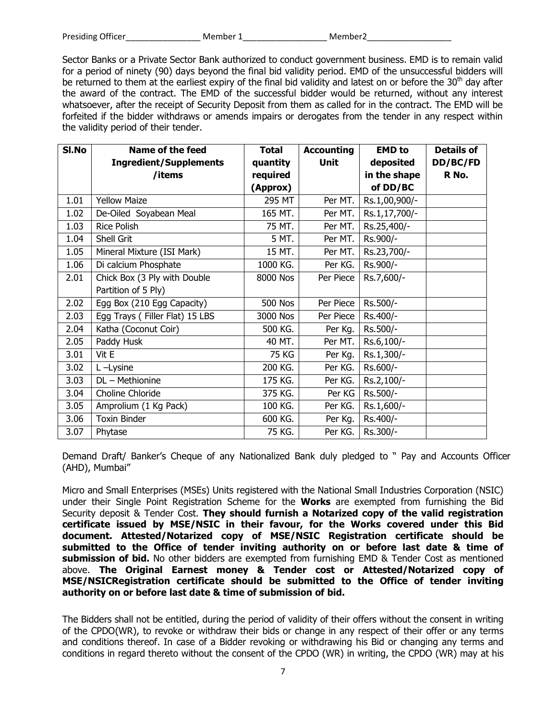| <b>Presiding Officer</b> | Member 1 | Member <sub>2</sub> |
|--------------------------|----------|---------------------|
|                          |          |                     |

Sector Banks or a Private Sector Bank authorized to conduct government business. EMD is to remain valid for a period of ninety (90) days beyond the final bid validity period. EMD of the unsuccessful bidders will be returned to them at the earliest expiry of the final bid validity and latest on or before the 30<sup>th</sup> day after the award of the contract. The EMD of the successful bidder would be returned, without any interest whatsoever, after the receipt of Security Deposit from them as called for in the contract. The EMD will be forfeited if the bidder withdraws or amends impairs or derogates from the tender in any respect within the validity period of their tender.

| SI.No | <b>Name of the feed</b>        | <b>Total</b>   | <b>Accounting</b> | <b>EMD</b> to | <b>Details of</b> |
|-------|--------------------------------|----------------|-------------------|---------------|-------------------|
|       | <b>Ingredient/Supplements</b>  | quantity       | <b>Unit</b>       | deposited     | DD/BC/FD          |
|       | /items                         | required       |                   | in the shape  | R No.             |
|       |                                | (Approx)       |                   | of DD/BC      |                   |
| 1.01  | <b>Yellow Maize</b>            | 295 MT         | Per MT.           | Rs.1,00,900/- |                   |
| 1.02  | De-Oiled Soyabean Meal         | 165 MT.        | Per MT.           | Rs.1,17,700/- |                   |
| 1.03  | <b>Rice Polish</b>             | 75 MT.         | Per MT.           | Rs.25,400/-   |                   |
| 1.04  | Shell Grit                     | 5 MT.          | Per MT.           | Rs.900/-      |                   |
| 1.05  | Mineral Mixture (ISI Mark)     | 15 MT.         | Per MT.           | Rs.23,700/-   |                   |
| 1.06  | Di calcium Phosphate           | 1000 KG.       | Per KG.           | Rs.900/-      |                   |
| 2.01  | Chick Box (3 Ply with Double   | 8000 Nos       | Per Piece         | Rs.7,600/-    |                   |
|       | Partition of 5 Ply)            |                |                   |               |                   |
| 2.02  | Egg Box (210 Egg Capacity)     | <b>500 Nos</b> | Per Piece         | Rs.500/-      |                   |
| 2.03  | Egg Trays (Filler Flat) 15 LBS | 3000 Nos       | Per Piece         | Rs.400/-      |                   |
| 2.04  | Katha (Coconut Coir)           | 500 KG.        | Per Kg.           | Rs.500/-      |                   |
| 2.05  | Paddy Husk                     | 40 MT.         | Per MT.           | Rs.6,100/-    |                   |
| 3.01  | Vit E                          | 75 KG          | Per Kg.           | Rs.1,300/-    |                   |
| 3.02  | L-Lysine                       | 200 KG.        | Per KG.           | Rs.600/-      |                   |
| 3.03  | DL - Methionine                | 175 KG.        | Per KG.           | Rs.2,100/-    |                   |
| 3.04  | Choline Chloride               | 375 KG.        | Per KG            | Rs.500/-      |                   |
| 3.05  | Amprolium (1 Kg Pack)          | 100 KG.        | Per KG.           | Rs.1,600/-    |                   |
| 3.06  | <b>Toxin Binder</b>            | 600 KG.        | Per Kg.           | Rs.400/-      |                   |
| 3.07  | Phytase                        | 75 KG.         | Per KG.           | Rs.300/-      |                   |

Demand Draft/ Banker's Cheque of any Nationalized Bank duly pledged to " Pay and Accounts Officer (AHD), Mumbai"

Micro and Small Enterprises (MSEs) Units registered with the National Small Industries Corporation (NSIC) under their Single Point Registration Scheme for the **Works** are exempted from furnishing the Bid Security deposit & Tender Cost. **They should furnish a Notarized copy of the valid registration certificate issued by MSE/NSIC in their favour, for the Works covered under this Bid document. Attested/Notarized copy of MSE/NSIC Registration certificate should be submitted to the Office of tender inviting authority on or before last date & time of submission of bid.** No other bidders are exempted from furnishing EMD & Tender Cost as mentioned above. **The Original Earnest money & Tender cost or Attested/Notarized copy of MSE/NSICRegistration certificate should be submitted to the Office of tender inviting authority on or before last date & time of submission of bid.** 

The Bidders shall not be entitled, during the period of validity of their offers without the consent in writing of the CPDO(WR), to revoke or withdraw their bids or change in any respect of their offer or any terms and conditions thereof. In case of a Bidder revoking or withdrawing his Bid or changing any terms and conditions in regard thereto without the consent of the CPDO (WR) in writing, the CPDO (WR) may at his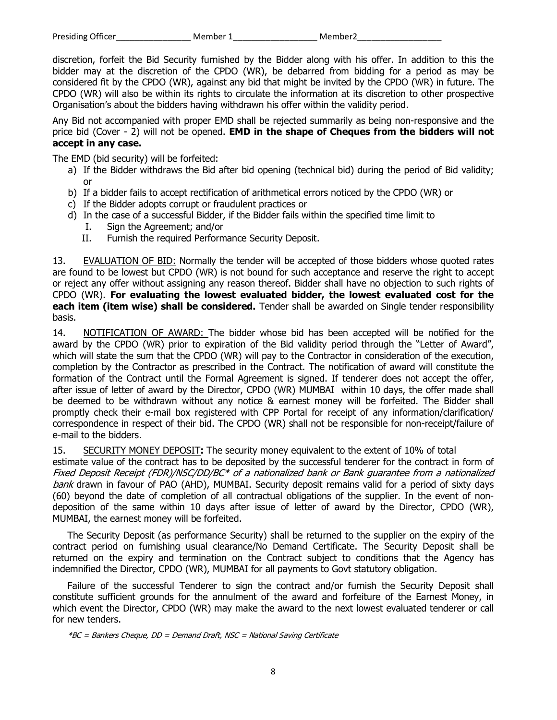discretion, forfeit the Bid Security furnished by the Bidder along with his offer. In addition to this the bidder may at the discretion of the CPDO (WR), be debarred from bidding for a period as may be considered fit by the CPDO (WR), against any bid that might be invited by the CPDO (WR) in future. The CPDO (WR) will also be within its rights to circulate the information at its discretion to other prospective Organisation's about the bidders having withdrawn his offer within the validity period.

Any Bid not accompanied with proper EMD shall be rejected summarily as being non-responsive and the price bid (Cover - 2) will not be opened. **EMD in the shape of Cheques from the bidders will not accept in any case.** 

The EMD (bid security) will be forfeited:

- a) If the Bidder withdraws the Bid after bid opening (technical bid) during the period of Bid validity; or
- b) If a bidder fails to accept rectification of arithmetical errors noticed by the CPDO (WR) or
- c) If the Bidder adopts corrupt or fraudulent practices or
- d) In the case of a successful Bidder, if the Bidder fails within the specified time limit to
	- I. Sign the Agreement; and/or
	- II. Furnish the required Performance Security Deposit.

13. EVALUATION OF BID: Normally the tender will be accepted of those bidders whose quoted rates are found to be lowest but CPDO (WR) is not bound for such acceptance and reserve the right to accept or reject any offer without assigning any reason thereof. Bidder shall have no objection to such rights of CPDO (WR). **For evaluating the lowest evaluated bidder, the lowest evaluated cost for the each item (item wise) shall be considered.** Tender shall be awarded on Single tender responsibility basis.

14. NOTIFICATION OF AWARD: The bidder whose bid has been accepted will be notified for the award by the CPDO (WR) prior to expiration of the Bid validity period through the "Letter of Award", which will state the sum that the CPDO (WR) will pay to the Contractor in consideration of the execution, completion by the Contractor as prescribed in the Contract. The notification of award will constitute the formation of the Contract until the Formal Agreement is signed. If tenderer does not accept the offer, after issue of letter of award by the Director, CPDO (WR) MUMBAI within 10 days, the offer made shall be deemed to be withdrawn without any notice & earnest money will be forfeited. The Bidder shall promptly check their e-mail box registered with CPP Portal for receipt of any information/clarification/ correspondence in respect of their bid. The CPDO (WR) shall not be responsible for non-receipt/failure of e-mail to the bidders.

15. SECURITY MONEY DEPOSIT**:** The security money equivalent to the extent of 10% of total

estimate value of the contract has to be deposited by the successful tenderer for the contract in form of Fixed Deposit Receipt (FDR)/NSC/DD/BC\* of a nationalized bank or Bank guarantee from a nationalized bank drawn in favour of PAO (AHD), MUMBAI. Security deposit remains valid for a period of sixty days (60) beyond the date of completion of all contractual obligations of the supplier. In the event of nondeposition of the same within 10 days after issue of letter of award by the Director, CPDO (WR), MUMBAI, the earnest money will be forfeited.

The Security Deposit (as performance Security) shall be returned to the supplier on the expiry of the contract period on furnishing usual clearance/No Demand Certificate. The Security Deposit shall be returned on the expiry and termination on the Contract subject to conditions that the Agency has indemnified the Director, CPDO (WR), MUMBAI for all payments to Govt statutory obligation.

Failure of the successful Tenderer to sign the contract and/or furnish the Security Deposit shall constitute sufficient grounds for the annulment of the award and forfeiture of the Earnest Money, in which event the Director, CPDO (WR) may make the award to the next lowest evaluated tenderer or call for new tenders.

\*BC = Bankers Cheque, DD = Demand Draft, NSC = National Saving Certificate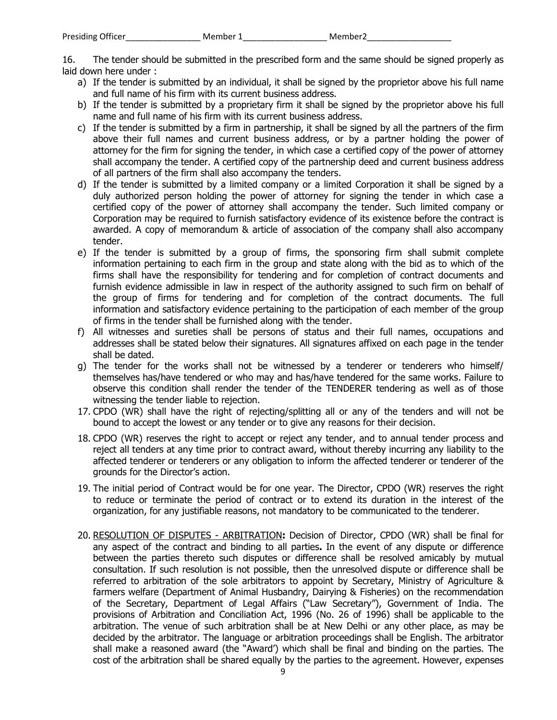16. The tender should be submitted in the prescribed form and the same should be signed properly as laid down here under :

- a) If the tender is submitted by an individual, it shall be signed by the proprietor above his full name and full name of his firm with its current business address.
- b) If the tender is submitted by a proprietary firm it shall be signed by the proprietor above his full name and full name of his firm with its current business address.
- c) If the tender is submitted by a firm in partnership, it shall be signed by all the partners of the firm above their full names and current business address, or by a partner holding the power of attorney for the firm for signing the tender, in which case a certified copy of the power of attorney shall accompany the tender. A certified copy of the partnership deed and current business address of all partners of the firm shall also accompany the tenders.
- d) If the tender is submitted by a limited company or a limited Corporation it shall be signed by a duly authorized person holding the power of attorney for signing the tender in which case a certified copy of the power of attorney shall accompany the tender. Such limited company or Corporation may be required to furnish satisfactory evidence of its existence before the contract is awarded. A copy of memorandum & article of association of the company shall also accompany tender.
- e) If the tender is submitted by a group of firms, the sponsoring firm shall submit complete information pertaining to each firm in the group and state along with the bid as to which of the firms shall have the responsibility for tendering and for completion of contract documents and furnish evidence admissible in law in respect of the authority assigned to such firm on behalf of the group of firms for tendering and for completion of the contract documents. The full information and satisfactory evidence pertaining to the participation of each member of the group of firms in the tender shall be furnished along with the tender.
- f) All witnesses and sureties shall be persons of status and their full names, occupations and addresses shall be stated below their signatures. All signatures affixed on each page in the tender shall be dated.
- g) The tender for the works shall not be witnessed by a tenderer or tenderers who himself/ themselves has/have tendered or who may and has/have tendered for the same works. Failure to observe this condition shall render the tender of the TENDERER tendering as well as of those witnessing the tender liable to rejection.
- 17. CPDO (WR) shall have the right of rejecting/splitting all or any of the tenders and will not be bound to accept the lowest or any tender or to give any reasons for their decision.
- 18. CPDO (WR) reserves the right to accept or reject any tender, and to annual tender process and reject all tenders at any time prior to contract award, without thereby incurring any liability to the affected tenderer or tenderers or any obligation to inform the affected tenderer or tenderer of the grounds for the Director's action.
- 19. The initial period of Contract would be for one year. The Director, CPDO (WR) reserves the right to reduce or terminate the period of contract or to extend its duration in the interest of the organization, for any justifiable reasons, not mandatory to be communicated to the tenderer.
- 20. RESOLUTION OF DISPUTES ARBITRATION**:** Decision of Director, CPDO (WR) shall be final for any aspect of the contract and binding to all parties**.** In the event of any dispute or difference between the parties thereto such disputes or difference shall be resolved amicably by mutual consultation. If such resolution is not possible, then the unresolved dispute or difference shall be referred to arbitration of the sole arbitrators to appoint by Secretary, Ministry of Agriculture & farmers welfare (Department of Animal Husbandry, Dairying & Fisheries) on the recommendation of the Secretary, Department of Legal Affairs ("Law Secretary"), Government of India. The provisions of Arbitration and Conciliation Act, 1996 (No. 26 of 1996) shall be applicable to the arbitration. The venue of such arbitration shall be at New Delhi or any other place, as may be decided by the arbitrator. The language or arbitration proceedings shall be English. The arbitrator shall make a reasoned award (the "Award') which shall be final and binding on the parties. The cost of the arbitration shall be shared equally by the parties to the agreement. However, expenses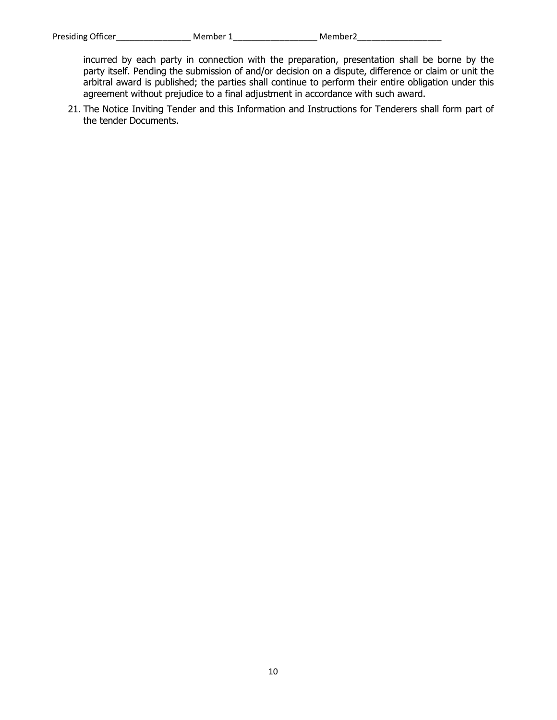incurred by each party in connection with the preparation, presentation shall be borne by the party itself. Pending the submission of and/or decision on a dispute, difference or claim or unit the arbitral award is published; the parties shall continue to perform their entire obligation under this agreement without prejudice to a final adjustment in accordance with such award.

21. The Notice Inviting Tender and this Information and Instructions for Tenderers shall form part of the tender Documents.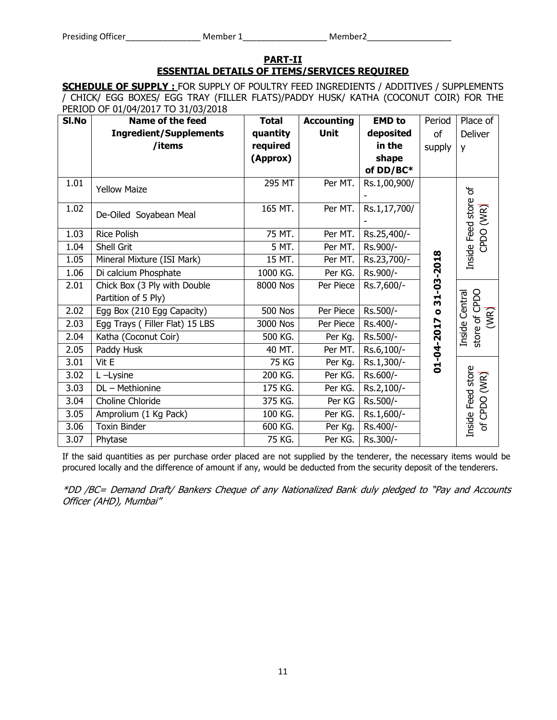#### **PART-II ESSENTIAL DETAILS OF ITEMS/SERVICES REQUIRED**

**SCHEDULE OF SUPPLY :** FOR SUPPLY OF POULTRY FEED INGREDIENTS / ADDITIVES / SUPPLEMENTS / CHICK/ EGG BOXES/ EGG TRAY (FILLER FLATS)/PADDY HUSK/ KATHA (COCONUT COIR) FOR THE PERIOD OF 01/04/2017 TO 31/03/2018

| SI.No | Name of the feed               | <b>Total</b>   | <b>Accounting</b> | <b>EMD</b> to | Period     | Place of                                |
|-------|--------------------------------|----------------|-------------------|---------------|------------|-----------------------------------------|
|       | <b>Ingredient/Supplements</b>  | quantity       | Unit              | deposited     | οf         | Deliver                                 |
|       | /items                         | required       |                   | in the        | supply     | y                                       |
|       |                                | (Approx)       |                   | shape         |            |                                         |
|       |                                |                |                   | of DD/BC*     |            |                                         |
| 1.01  | <b>Yellow Maize</b>            | 295 MT         | Per MT.           | Rs.1,00,900/  |            |                                         |
|       |                                |                |                   |               |            | ზ                                       |
| 1.02  | De-Oiled Soyabean Meal         | 165 MT.        | Per MT.           | Rs.1,17,700/  |            |                                         |
|       |                                |                |                   |               |            |                                         |
| 1.03  | <b>Rice Polish</b>             | 75 MT.         | Per MT.           | Rs.25,400/-   |            |                                         |
| 1.04  | Shell Grit                     | 5 MT.          | Per MT.           | Rs.900/-      |            | CPDO (WR)                               |
| 1.05  | Mineral Mixture (ISI Mark)     | 15 MT.         | Per MT.           | Rs.23,700/-   | 31-03-2018 | Inside Feed store                       |
| 1.06  | Di calcium Phosphate           | 1000 KG.       | Per KG.           | Rs.900/-      |            |                                         |
| 2.01  | Chick Box (3 Ply with Double   | 8000 Nos       | Per Piece         | Rs.7,600/-    |            |                                         |
|       | Partition of 5 Ply)            |                |                   |               |            |                                         |
| 2.02  | Egg Box (210 Egg Capacity)     | <b>500 Nos</b> | Per Piece         | Rs.500/-      | $\bullet$  | Inside Central<br>store of CPDO<br>(WR) |
| 2.03  | Egg Trays (Filler Flat) 15 LBS | 3000 Nos       | Per Piece         | Rs.400/-      |            |                                         |
| 2.04  | Katha (Coconut Coir)           | 500 KG.        | Per Kg.           | Rs.500/-      |            |                                         |
| 2.05  | Paddy Husk                     | 40 MT.         | Per MT.           | Rs.6,100/-    | 01-04-2017 |                                         |
| 3.01  | Vit E                          | 75 KG          | Per Kg.           | Rs.1,300/-    |            |                                         |
| 3.02  | L-Lysine                       | 200 KG.        | Per KG.           | Rs.600/-      |            |                                         |
| 3.03  | DL - Methionine                | 175 KG.        | Per KG.           | Rs.2,100/-    |            |                                         |
| 3.04  | Choline Chloride               | 375 KG.        | Per KG            | Rs.500/-      |            | Inside Feed store<br>of CPDO (WR)       |
| 3.05  | Amprolium (1 Kg Pack)          | 100 KG.        | Per KG.           | Rs.1,600/-    |            |                                         |
| 3.06  | <b>Toxin Binder</b>            | 600 KG.        | Per Kg.           | Rs.400/-      |            |                                         |
| 3.07  | Phytase                        | 75 KG.         | Per KG.           | Rs.300/-      |            |                                         |

If the said quantities as per purchase order placed are not supplied by the tenderer, the necessary items would be procured locally and the difference of amount if any, would be deducted from the security deposit of the tenderers.

\*DD /BC= Demand Draft/ Bankers Cheque of any Nationalized Bank duly pledged to "Pay and Accounts Officer (AHD), Mumbai"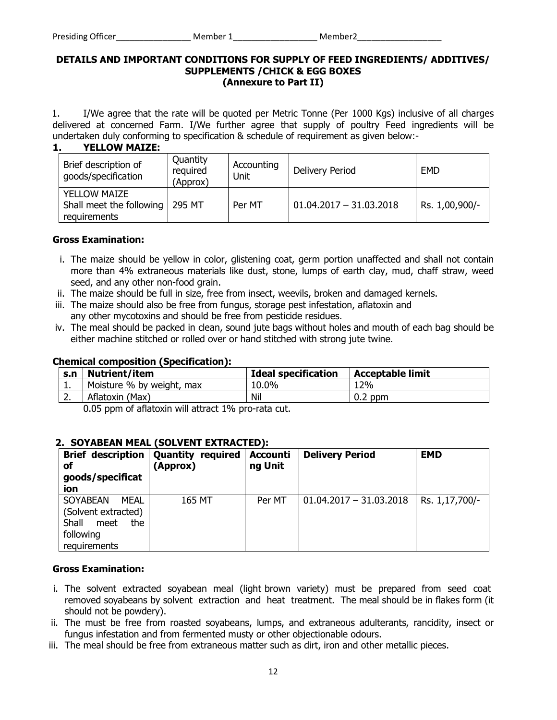#### **DETAILS AND IMPORTANT CONDITIONS FOR SUPPLY OF FEED INGREDIENTS/ ADDITIVES/ SUPPLEMENTS /CHICK & EGG BOXES (Annexure to Part II)**

1. I/We agree that the rate will be quoted per Metric Tonne (Per 1000 Kgs) inclusive of all charges delivered at concerned Farm. I/We further agree that supply of poultry Feed ingredients will be undertaken duly conforming to specification & schedule of requirement as given below:-

| <b>YELLOW MAIZE:</b><br>1.                                      |                                  |                    |                           |                |
|-----------------------------------------------------------------|----------------------------------|--------------------|---------------------------|----------------|
| Brief description of<br>goods/specification                     | Quantity<br>required<br>(Approx) | Accounting<br>Unit | Delivery Period           | <b>EMD</b>     |
| <b>YELLOW MAIZE</b><br>Shall meet the following<br>requirements | 295 MT                           | Per MT             | $01.04.2017 - 31.03.2018$ | Rs. 1,00,900/- |

#### **Gross Examination:**

- i. The maize should be yellow in color, glistening coat, germ portion unaffected and shall not contain more than 4% extraneous materials like dust, stone, lumps of earth clay, mud, chaff straw, weed seed, and any other non-food grain.
- ii. The maize should be full in size, free from insect, weevils, broken and damaged kernels.
- iii. The maize should also be free from fungus, storage pest infestation, aflatoxin and any other mycotoxins and should be free from pesticide residues.
- iv. The meal should be packed in clean, sound jute bags without holes and mouth of each bag should be either machine stitched or rolled over or hand stitched with strong jute twine.

#### **Chemical composition (Specification):**

| S.n       | <b>Nutrient/item</b>      | <b>Ideal specification</b> | <b>Acceptable limit</b> |
|-----------|---------------------------|----------------------------|-------------------------|
| <u>да</u> | Moisture % by weight, max | 10.0%                      | 12%                     |
| <u>.</u>  | Aflatoxin (Max)           | Nil                        | $0.2$ ppm               |

0.05 ppm of aflatoxin will attract 1% pro-rata cut.

## **2. SOYABEAN MEAL (SOLVENT EXTRACTED):**

| <b>Brief description</b><br>οf<br>goods/specificat<br>ion                                           | <b>Quantity required</b><br>(Approx) | <b>Accounti</b><br>ng Unit | <b>Delivery Period</b>    | <b>EMD</b>     |
|-----------------------------------------------------------------------------------------------------|--------------------------------------|----------------------------|---------------------------|----------------|
| <b>SOYABEAN</b><br>MEAL<br>(Solvent extracted)<br>Shall<br>the<br>meet<br>following<br>requirements | 165 MT                               | Per MT                     | $01.04.2017 - 31.03.2018$ | Rs. 1,17,700/- |

#### **Gross Examination:**

- i. The solvent extracted soyabean meal (light brown variety) must be prepared from seed coat removed soyabeans by solvent extraction and heat treatment. The meal should be in flakes form (it should not be powdery).
- ii. The must be free from roasted soyabeans, lumps, and extraneous adulterants, rancidity, insect or fungus infestation and from fermented musty or other objectionable odours.
- iii. The meal should be free from extraneous matter such as dirt, iron and other metallic pieces.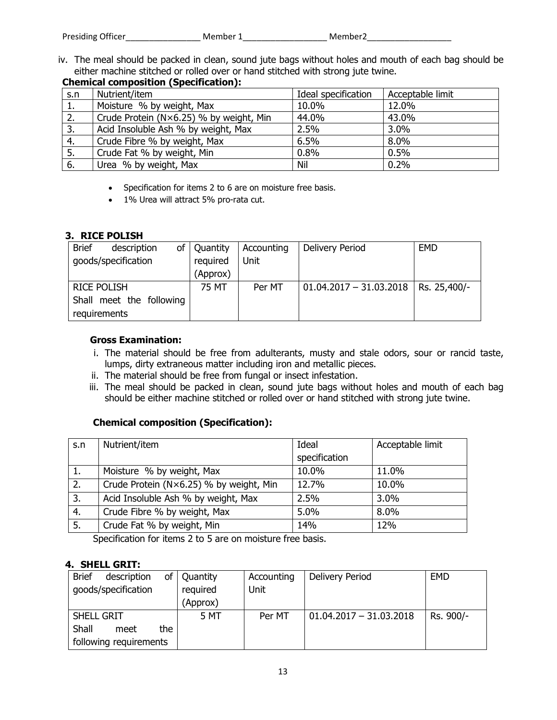| Presiding Officer | Member 1 | Member2 |
|-------------------|----------|---------|
|                   |          |         |

iv. The meal should be packed in clean, sound jute bags without holes and mouth of each bag should be either machine stitched or rolled over or hand stitched with strong jute twine. **Chemical composition (Specification):** 

|     | Crieniicai composition (Spechication).  |                     |                  |  |  |  |  |
|-----|-----------------------------------------|---------------------|------------------|--|--|--|--|
| S.n | Nutrient/item                           | Ideal specification | Acceptable limit |  |  |  |  |
| 1.  | Moisture % by weight, Max               | 10.0%               | 12.0%            |  |  |  |  |
| 2.  | Crude Protein (N×6.25) % by weight, Min | 44.0%               | 43.0%            |  |  |  |  |
| 3.  | Acid Insoluble Ash % by weight, Max     | 2.5%                | 3.0%             |  |  |  |  |
| 4.  | Crude Fibre % by weight, Max            | 6.5%                | 8.0%             |  |  |  |  |
| 5.  | Crude Fat % by weight, Min              | 0.8%                | 0.5%             |  |  |  |  |
| 6.  | Urea % by weight, Max                   | Nil                 | 0.2%             |  |  |  |  |

- Specification for items 2 to 6 are on moisture free basis.
- 1% Urea will attract 5% pro-rata cut.

## **3. RICE POLISH**

| <b>Brief</b>             | description |          | of   Quantity | Accounting | Delivery Period                          | <b>EMD</b> |
|--------------------------|-------------|----------|---------------|------------|------------------------------------------|------------|
| goods/specification      |             | required | Unit          |            |                                          |            |
|                          |             |          | (Approx)      |            |                                          |            |
| <b>RICE POLISH</b>       |             |          | 75 MT         | Per MT     | $01.04.2017 - 31.03.2018$   Rs. 25,400/- |            |
| Shall meet the following |             |          |               |            |                                          |            |
| requirements             |             |          |               |            |                                          |            |

## **Gross Examination:**

- i. The material should be free from adulterants, musty and stale odors, sour or rancid taste, lumps, dirty extraneous matter including iron and metallic pieces.
- ii. The material should be free from fungal or insect infestation.
- iii. The meal should be packed in clean, sound jute bags without holes and mouth of each bag should be either machine stitched or rolled over or hand stitched with strong jute twine.

## **Chemical composition (Specification):**

| S.n | Nutrient/item                           | Ideal         | Acceptable limit |
|-----|-----------------------------------------|---------------|------------------|
|     |                                         | specification |                  |
| 1.  | Moisture % by weight, Max               | 10.0%         | 11.0%            |
| 2.  | Crude Protein (N×6.25) % by weight, Min | 12.7%         | 10.0%            |
| 3.  | Acid Insoluble Ash % by weight, Max     | 2.5%          | 3.0%             |
| 4.  | Crude Fibre % by weight, Max            | 5.0%          | 8.0%             |
| 5.  | Crude Fat % by weight, Min              | 14%           | 12%              |

Specification for items 2 to 5 are on moisture free basis.

# **4. SHELL GRIT:**

| <b>Brief</b><br>description<br>οf | Quantity | Accounting | Delivery Period           | <b>EMD</b> |
|-----------------------------------|----------|------------|---------------------------|------------|
| goods/specification               | required | Unit       |                           |            |
|                                   | (Approx) |            |                           |            |
| SHELL GRIT                        | 5 MT     | Per MT     | $01.04.2017 - 31.03.2018$ | Rs. 900/-  |
| Shall<br>the<br>meet              |          |            |                           |            |
| following requirements            |          |            |                           |            |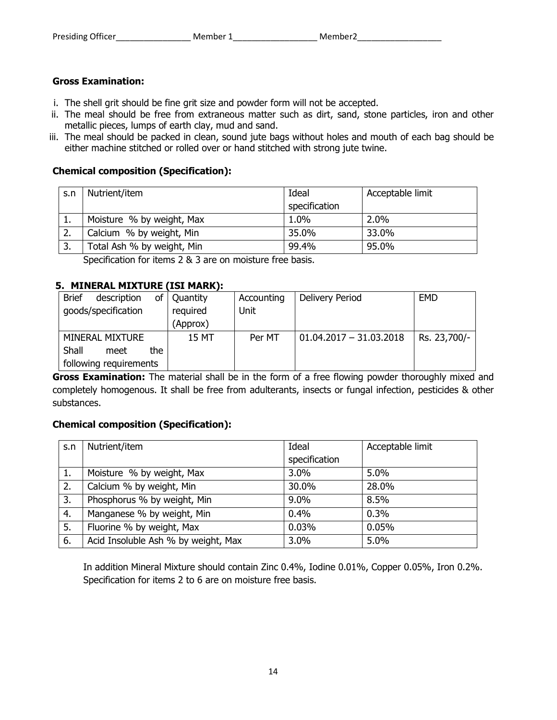## **Gross Examination:**

- i. The shell grit should be fine grit size and powder form will not be accepted.
- ii. The meal should be free from extraneous matter such as dirt, sand, stone particles, iron and other metallic pieces, lumps of earth clay, mud and sand.
- iii. The meal should be packed in clean, sound jute bags without holes and mouth of each bag should be either machine stitched or rolled over or hand stitched with strong jute twine.

## **Chemical composition (Specification):**

| S.n      | Nutrient/item              | Ideal         | Acceptable limit |
|----------|----------------------------|---------------|------------------|
|          |                            | specification |                  |
| <b>.</b> | Moisture % by weight, Max  | 1.0%          | 2.0%             |
| 2.       | Calcium % by weight, Min   | 35.0%         | 33.0%            |
| 3.       | Total Ash % by weight, Min | 99.4%         | 95.0%            |

Specification for items 2 & 3 are on moisture free basis.

# **5. MINERAL MIXTURE (ISI MARK):**

| <b>Brief</b> | description            | οf   | Quantity | Accounting | Delivery Period           | <b>EMD</b>   |
|--------------|------------------------|------|----------|------------|---------------------------|--------------|
|              | goods/specification    |      | required | Unit       |                           |              |
|              |                        |      | (Approx) |            |                           |              |
|              | MINERAL MIXTURE        |      | 15 MT    | Per MT     | $01.04.2017 - 31.03.2018$ | Rs. 23,700/- |
| Shall        | meet                   | the. |          |            |                           |              |
|              | following requirements |      |          |            |                           |              |

**Gross Examination:** The material shall be in the form of a free flowing powder thoroughly mixed and completely homogenous. It shall be free from adulterants, insects or fungal infection, pesticides & other substances.

## **Chemical composition (Specification):**

| S.n | Nutrient/item                       | Ideal         | Acceptable limit |
|-----|-------------------------------------|---------------|------------------|
|     |                                     | specification |                  |
| 1.  | Moisture % by weight, Max           | 3.0%          | $5.0\%$          |
| 2.  | Calcium % by weight, Min            | 30.0%         | 28.0%            |
| 3.  | Phosphorus % by weight, Min         | 9.0%          | 8.5%             |
| 4.  | Manganese % by weight, Min          | 0.4%          | 0.3%             |
| 5.  | Fluorine % by weight, Max           | 0.03%         | 0.05%            |
| 6.  | Acid Insoluble Ash % by weight, Max | 3.0%          | 5.0%             |

In addition Mineral Mixture should contain Zinc 0.4%, Iodine 0.01%, Copper 0.05%, Iron 0.2%. Specification for items 2 to 6 are on moisture free basis.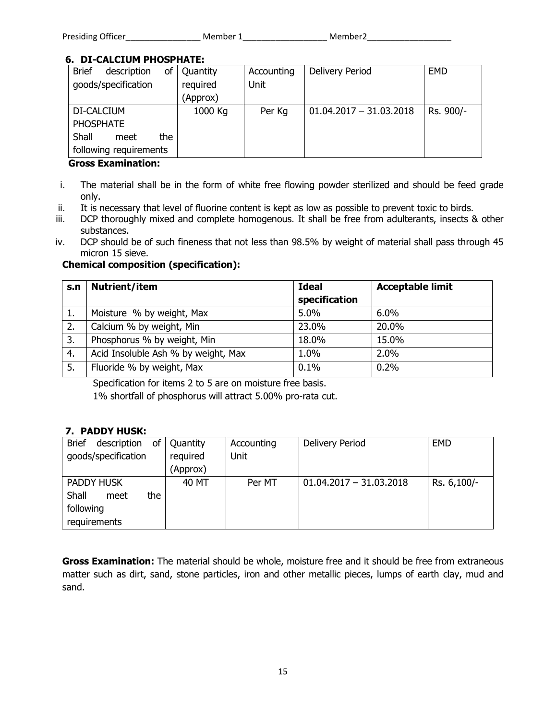| Presiding Officer | Member 1 | Member2 |
|-------------------|----------|---------|
|                   |          |         |

# **6. DI-CALCIUM PHOSPHATE:**

| <b>Brief</b><br>description<br>of | Quantity | Accounting | Delivery Period           | <b>EMD</b> |
|-----------------------------------|----------|------------|---------------------------|------------|
| goods/specification               | required | Unit       |                           |            |
|                                   | (Approx) |            |                           |            |
| DI-CALCIUM                        | 1000 Kg  | Per Kg     | $01.04.2017 - 31.03.2018$ | Rs. 900/-  |
| <b>PHOSPHATE</b>                  |          |            |                           |            |
| Shall<br>the<br>meet              |          |            |                           |            |
| following requirements            |          |            |                           |            |

## **Gross Examination:**

- i. The material shall be in the form of white free flowing powder sterilized and should be feed grade only.
- ii. It is necessary that level of fluorine content is kept as low as possible to prevent toxic to birds.
- iii. DCP thoroughly mixed and complete homogenous. It shall be free from adulterants, insects & other substances.
- iv. DCP should be of such fineness that not less than 98.5% by weight of material shall pass through 45 micron 15 sieve.

# **Chemical composition (specification):**

| S.n | Nutrient/item                       | <b>Ideal</b>  | <b>Acceptable limit</b> |
|-----|-------------------------------------|---------------|-------------------------|
|     |                                     | specification |                         |
| ı.  | Moisture % by weight, Max           | 5.0%          | 6.0%                    |
| 2.  | Calcium % by weight, Min            | 23.0%         | 20.0%                   |
| 3.  | Phosphorus % by weight, Min         | 18.0%         | 15.0%                   |
| 4.  | Acid Insoluble Ash % by weight, Max | 1.0%          | 2.0%                    |
| 5.  | Fluoride % by weight, Max           | 0.1%          | 0.2%                    |

Specification for items 2 to 5 are on moisture free basis.

1% shortfall of phosphorus will attract 5.00% pro-rata cut.

# **7. PADDY HUSK:**

| <b>Brief</b><br>of<br>description | Quantity | Accounting | Delivery Period           | <b>EMD</b>  |
|-----------------------------------|----------|------------|---------------------------|-------------|
| goods/specification               | required | Unit       |                           |             |
|                                   | (Approx) |            |                           |             |
| PADDY HUSK                        | 40 MT    | Per MT     | $01.04.2017 - 31.03.2018$ | Rs. 6,100/- |
| Shall<br>the<br>meet              |          |            |                           |             |
| following                         |          |            |                           |             |
| requirements                      |          |            |                           |             |

**Gross Examination:** The material should be whole, moisture free and it should be free from extraneous matter such as dirt, sand, stone particles, iron and other metallic pieces, lumps of earth clay, mud and sand.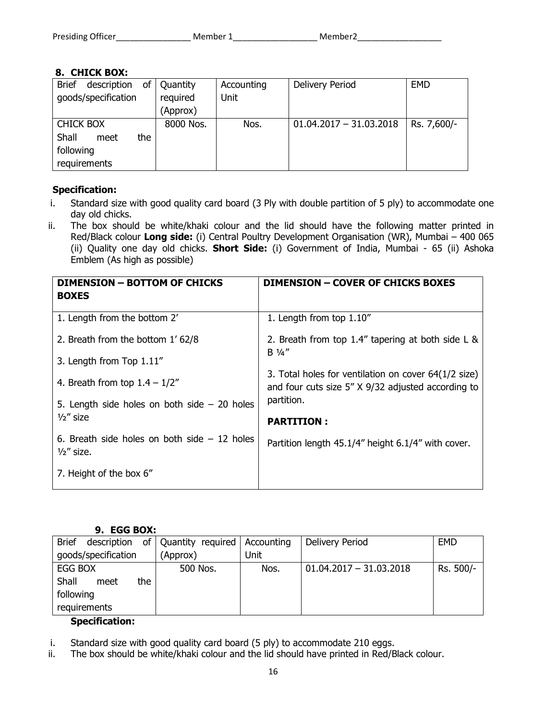| Presiding Officer | Member 1 | Member <sub>2</sub> |
|-------------------|----------|---------------------|
|                   |          |                     |

# **8. CHICK BOX:**

| <b>Brief</b><br>description<br>οf | Quantity  | Accounting  | Delivery Period           | <b>EMD</b>  |
|-----------------------------------|-----------|-------------|---------------------------|-------------|
| goods/specification               | required  | <b>Unit</b> |                           |             |
|                                   | (Approx)  |             |                           |             |
| <b>CHICK BOX</b>                  | 8000 Nos. | Nos.        | $01.04.2017 - 31.03.2018$ | Rs. 7,600/- |
| Shall<br>the<br>meet              |           |             |                           |             |
| following                         |           |             |                           |             |
| requirements                      |           |             |                           |             |

# **Specification:**

- i. Standard size with good quality card board (3 Ply with double partition of 5 ply) to accommodate one day old chicks.
- ii. The box should be white/khaki colour and the lid should have the following matter printed in Red/Black colour **Long side:** (i) Central Poultry Development Organisation (WR), Mumbai – 400 065 (ii) Quality one day old chicks. **Short Side:** (i) Government of India, Mumbai - 65 (ii) Ashoka Emblem (As high as possible)

| <b>DIMENSION - BOTTOM OF CHICKS</b><br><b>BOXES</b>                  | <b>DIMENSION - COVER OF CHICKS BOXES</b>                                                                   |
|----------------------------------------------------------------------|------------------------------------------------------------------------------------------------------------|
| 1. Length from the bottom 2'                                         | 1. Length from top 1.10"                                                                                   |
| 2. Breath from the bottom 1'62/8                                     | 2. Breath from top 1.4" tapering at both side L &                                                          |
| 3. Length from Top 1.11"                                             | $B \frac{1}{4}$                                                                                            |
| 4. Breath from top $1.4 - 1/2"$                                      | 3. Total holes for ventilation on cover 64(1/2 size)<br>and four cuts size 5" X 9/32 adjusted according to |
| 5. Length side holes on both side $-20$ holes                        | partition.                                                                                                 |
| $\frac{1}{2}$ size                                                   | <b>PARTITION:</b>                                                                                          |
| 6. Breath side holes on both side $-12$ holes<br>$\frac{1}{2}$ size. | Partition length 45.1/4" height 6.1/4" with cover.                                                         |
| 7. Height of the box 6"                                              |                                                                                                            |

## **9. EGG BOX:**

| <b>Brief</b><br>description | of   Quantity required   Accounting |      | Delivery Period           | <b>EMD</b> |
|-----------------------------|-------------------------------------|------|---------------------------|------------|
| goods/specification         | (Approx)                            | Unit |                           |            |
| EGG BOX                     | 500 Nos.                            | Nos. | $01.04.2017 - 31.03.2018$ | Rs. 500/-  |
| Shall<br>the<br>meet        |                                     |      |                           |            |
| following                   |                                     |      |                           |            |
| requirements                |                                     |      |                           |            |

# **Specification:**

- i. Standard size with good quality card board (5 ply) to accommodate 210 eggs.
- ii. The box should be white/khaki colour and the lid should have printed in Red/Black colour.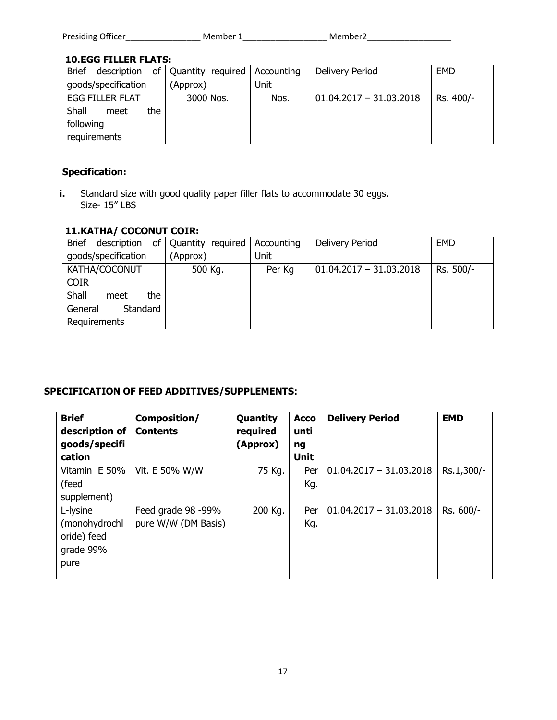| Presiding Officer | Member 1 | Member2 |
|-------------------|----------|---------|
|                   |          |         |

# **10.EGG FILLER FLATS:**

| <b>Brief</b><br>description | of   Quantity required   Accounting |      | Delivery Period           | <b>EMD</b> |
|-----------------------------|-------------------------------------|------|---------------------------|------------|
| goods/specification         | (Approx)                            | Unit |                           |            |
| <b>EGG FILLER FLAT</b>      | 3000 Nos.                           | Nos. | $01.04.2017 - 31.03.2018$ | Rs. 400/-  |
| Shall<br>the.<br>meet       |                                     |      |                           |            |
| following                   |                                     |      |                           |            |
| requirements                |                                     |      |                           |            |

# **Specification:**

**i.** Standard size with good quality paper filler flats to accommodate 30 eggs. Size- 15" LBS

# **11.KATHA/ COCONUT COIR:**

| <b>Brief</b><br>description | of Quantity required | Accounting | Delivery Period           | <b>EMD</b> |
|-----------------------------|----------------------|------------|---------------------------|------------|
| goods/specification         | (Approx)             | Unit       |                           |            |
| KATHA/COCONUT               | 500 Kg.              | Per Kg     | $01.04.2017 - 31.03.2018$ | Rs. 500/-  |
| <b>COIR</b>                 |                      |            |                           |            |
| Shall<br>the<br>meet        |                      |            |                           |            |
| General<br>Standard         |                      |            |                           |            |
| Requirements                |                      |            |                           |            |

# **SPECIFICATION OF FEED ADDITIVES/SUPPLEMENTS:**

| <b>Brief</b><br>description of<br>goods/specifi<br>cation | Composition/<br><b>Contents</b> | Quantity<br>required<br>(Approx) | <b>Acco</b><br>unti<br>ng<br><b>Unit</b> | <b>Delivery Period</b>    | <b>EMD</b> |
|-----------------------------------------------------------|---------------------------------|----------------------------------|------------------------------------------|---------------------------|------------|
| Vitamin E 50%                                             | Vit. E 50% W/W                  | 75 Kg.                           | Per                                      | $01.04.2017 - 31.03.2018$ | Rs.1,300/- |
| (feed                                                     |                                 |                                  | Kg.                                      |                           |            |
| supplement)                                               |                                 |                                  |                                          |                           |            |
| L-lysine                                                  | Feed grade 98 -99%              | 200 Kg.                          | Per                                      | $01.04.2017 - 31.03.2018$ | Rs. 600/-  |
| (monohydrochl                                             | pure W/W (DM Basis)             |                                  | Kg.                                      |                           |            |
| oride) feed                                               |                                 |                                  |                                          |                           |            |
| grade 99%                                                 |                                 |                                  |                                          |                           |            |
| pure                                                      |                                 |                                  |                                          |                           |            |
|                                                           |                                 |                                  |                                          |                           |            |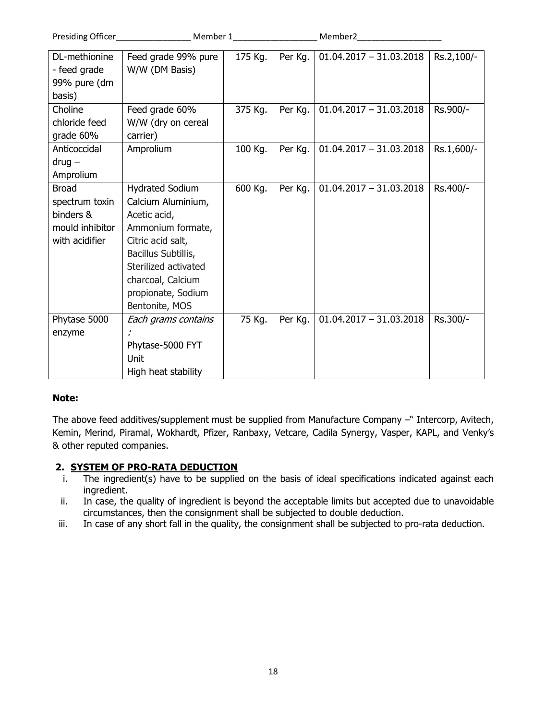| Presiding Officer | Member 1               |         | Member2 |                           |            |
|-------------------|------------------------|---------|---------|---------------------------|------------|
| DL-methionine     | Feed grade 99% pure    | 175 Kg. | Per Kg. | $01.04.2017 - 31.03.2018$ | Rs.2,100/- |
| - feed grade      | W/W (DM Basis)         |         |         |                           |            |
| 99% pure (dm      |                        |         |         |                           |            |
| basis)            |                        |         |         |                           |            |
| Choline           | Feed grade 60%         | 375 Kg. | Per Kg. | $01.04.2017 - 31.03.2018$ | Rs.900/-   |
| chloride feed     | W/W (dry on cereal     |         |         |                           |            |
| grade 60%         | carrier)               |         |         |                           |            |
| Anticoccidal      | Amprolium              | 100 Kg. | Per Kg. | $01.04.2017 - 31.03.2018$ | Rs.1,600/- |
| $drug -$          |                        |         |         |                           |            |
| Amprolium         |                        |         |         |                           |            |
| <b>Broad</b>      | <b>Hydrated Sodium</b> | 600 Kg. | Per Kg. | $01.04.2017 - 31.03.2018$ | Rs.400/-   |
| spectrum toxin    | Calcium Aluminium,     |         |         |                           |            |
| binders &         | Acetic acid,           |         |         |                           |            |
| mould inhibitor   | Ammonium formate,      |         |         |                           |            |
| with acidifier    | Citric acid salt,      |         |         |                           |            |
|                   | Bacillus Subtillis,    |         |         |                           |            |
|                   | Sterilized activated   |         |         |                           |            |
|                   | charcoal, Calcium      |         |         |                           |            |
|                   | propionate, Sodium     |         |         |                           |            |
|                   | Bentonite, MOS         |         |         |                           |            |
| Phytase 5000      | Each grams contains    | 75 Kg.  | Per Kg. | $01.04.2017 - 31.03.2018$ | Rs.300/-   |
| enzyme            |                        |         |         |                           |            |
|                   | Phytase-5000 FYT       |         |         |                           |            |
|                   | Unit                   |         |         |                           |            |
|                   | High heat stability    |         |         |                           |            |

## **Note:**

The above feed additives/supplement must be supplied from Manufacture Company –" Intercorp, Avitech, Kemin, Merind, Piramal, Wokhardt, Pfizer, Ranbaxy, Vetcare, Cadila Synergy, Vasper, KAPL, and Venky's & other reputed companies.

## **2. SYSTEM OF PRO-RATA DEDUCTION**

- i. The ingredient(s) have to be supplied on the basis of ideal specifications indicated against each ingredient.
- ii. In case, the quality of ingredient is beyond the acceptable limits but accepted due to unavoidable circumstances, then the consignment shall be subjected to double deduction.
- iii. In case of any short fall in the quality, the consignment shall be subjected to pro-rata deduction.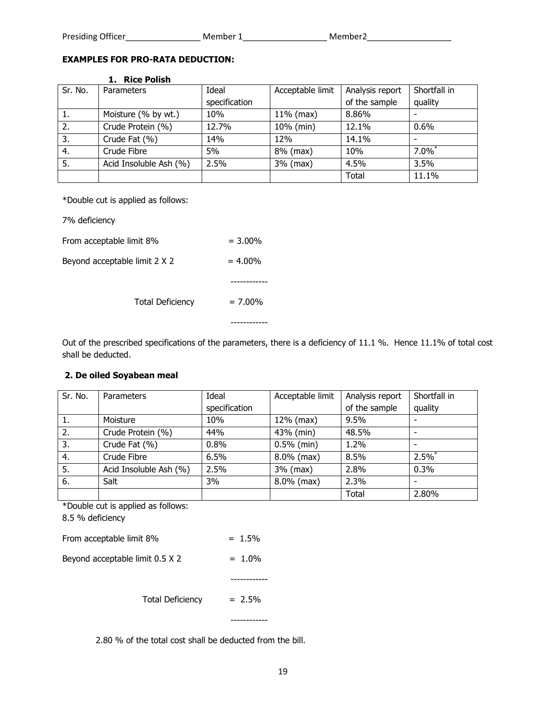#### **EXAMPLES FOR PRO-RATA DEDUCTION:**

|         | LI ING FURTH           |               |                  |                 |                      |
|---------|------------------------|---------------|------------------|-----------------|----------------------|
| Sr. No. | Parameters             | Ideal         | Acceptable limit | Analysis report | Shortfall in         |
|         |                        | specification |                  | of the sample   | quality              |
| ı.      | Moisture (% by wt.)    | 10%           | $11\%$ (max)     | 8.86%           |                      |
| 2.      | Crude Protein (%)      | 12.7%         | 10% (min)        | 12.1%           | 0.6%                 |
| 3.      | Crude Fat (%)          | 14%           | 12%              | 14.1%           |                      |
| 4.      | Crude Fibre            | 5%            | 8% (max)         | 10%             | $7.0\%$ <sup>*</sup> |
| 5.      | Acid Insoluble Ash (%) | 2.5%          | 3% (max)         | 4.5%            | 3.5%                 |
|         |                        |               |                  | Total           | 11.1%                |

#### **1. Rice Polish**

\*Double cut is applied as follows:

7% deficiency

| <b>Total Deficiency</b>       | $= 7.00\%$ |
|-------------------------------|------------|
|                               |            |
| Beyond acceptable limit 2 X 2 | $= 4.00\%$ |
| From acceptable limit 8%      | $= 3.00\%$ |

Out of the prescribed specifications of the parameters, there is a deficiency of 11.1 %. Hence 11.1% of total cost shall be deducted.

#### **2. De oiled Soyabean meal**

| Sr. No. | Parameters             | Ideal         | Acceptable limit | Analysis report | Shortfall in |
|---------|------------------------|---------------|------------------|-----------------|--------------|
|         |                        | specification |                  | of the sample   | quality      |
| 1.      | Moisture               | 10%           | 12% (max)        | 9.5%            |              |
| 2.      | Crude Protein (%)      | 44%           | 43% (min)        | 48.5%           |              |
| 3.      | Crude Fat (%)          | 0.8%          | $0.5%$ (min)     | 1.2%            |              |
| 4.      | Crude Fibre            | 6.5%          | $8.0\%$ (max)    | 8.5%            | 2.5%         |
| -5.     | Acid Insoluble Ash (%) | 2.5%          | $3%$ (max)       | 2.8%            | 0.3%         |
| 6.      | Salt                   | 3%            | $8.0\%$ (max)    | 2.3%            |              |
|         |                        |               |                  | Total           | 2.80%        |

\*Double cut is applied as follows:

8.5 % deficiency

| Beyond acceptable limit 0.5 X 2 | $= 1.0\%$ |
|---------------------------------|-----------|
| From acceptable limit 8%        | $= 1.5\%$ |

Total Deficiency  $= 2.5\%$ 

2.80 % of the total cost shall be deducted from the bill.

------------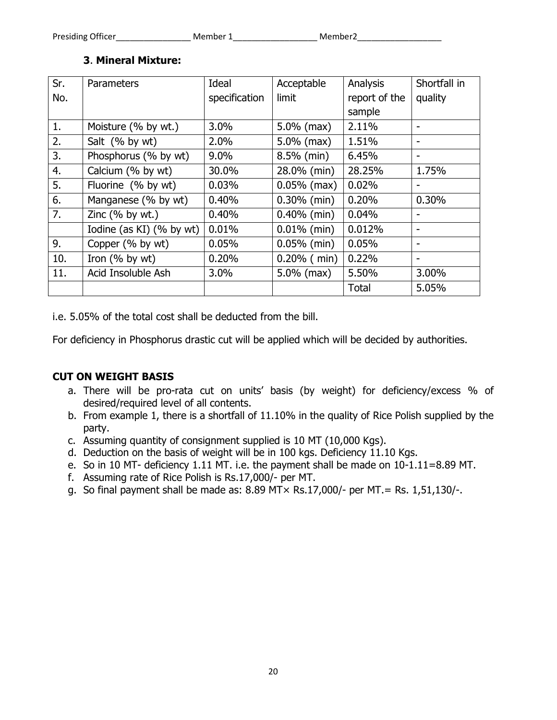# **3**. **Mineral Mixture:**

| Sr. | Parameters               | Ideal         | Acceptable     | Analysis      | Shortfall in |
|-----|--------------------------|---------------|----------------|---------------|--------------|
| No. |                          | specification | limit          | report of the | quality      |
|     |                          |               |                | sample        |              |
| 1.  | Moisture (% by wt.)      | 3.0%          | $5.0\%$ (max)  | 2.11%         |              |
| 2.  | Salt (% by wt)           | 2.0%          | $5.0\%$ (max)  | 1.51%         |              |
| 3.  | Phosphorus (% by wt)     | 9.0%          | 8.5% (min)     | 6.45%         | -            |
| 4.  | Calcium (% by wt)        | 30.0%         | 28.0% (min)    | 28.25%        | 1.75%        |
| 5.  | Fluorine (% by wt)       | 0.03%         | $0.05\%$ (max) | 0.02%         |              |
| 6.  | Manganese (% by wt)      | 0.40%         | $0.30\%$ (min) | 0.20%         | 0.30%        |
| 7.  | Zinc $(%$ by wt.)        | 0.40%         | $0.40\%$ (min) | 0.04%         |              |
|     | Iodine (as KI) (% by wt) | 0.01%         | $0.01\%$ (min) | 0.012%        |              |
| 9.  | Copper (% by wt)         | 0.05%         | $0.05%$ (min)  | 0.05%         | -            |
| 10. | Iron $(%$ by wt)         | 0.20%         | $0.20\%$ (min) | 0.22%         |              |
| 11. | Acid Insoluble Ash       | 3.0%          | $5.0\%$ (max)  | 5.50%         | 3.00%        |
|     |                          |               |                | <b>Total</b>  | 5.05%        |

i.e. 5.05% of the total cost shall be deducted from the bill.

For deficiency in Phosphorus drastic cut will be applied which will be decided by authorities.

# **CUT ON WEIGHT BASIS**

- a. There will be pro-rata cut on units' basis (by weight) for deficiency/excess % of desired/required level of all contents.
- b. From example 1, there is a shortfall of 11.10% in the quality of Rice Polish supplied by the party.
- c. Assuming quantity of consignment supplied is 10 MT (10,000 Kgs).
- d. Deduction on the basis of weight will be in 100 kgs. Deficiency 11.10 Kgs.
- e. So in 10 MT- deficiency 1.11 MT. i.e. the payment shall be made on 10-1.11=8.89 MT.
- f. Assuming rate of Rice Polish is Rs.17,000/- per MT.
- g. So final payment shall be made as: 8.89 MT× Rs.17,000/- per MT.= Rs. 1,51,130/-.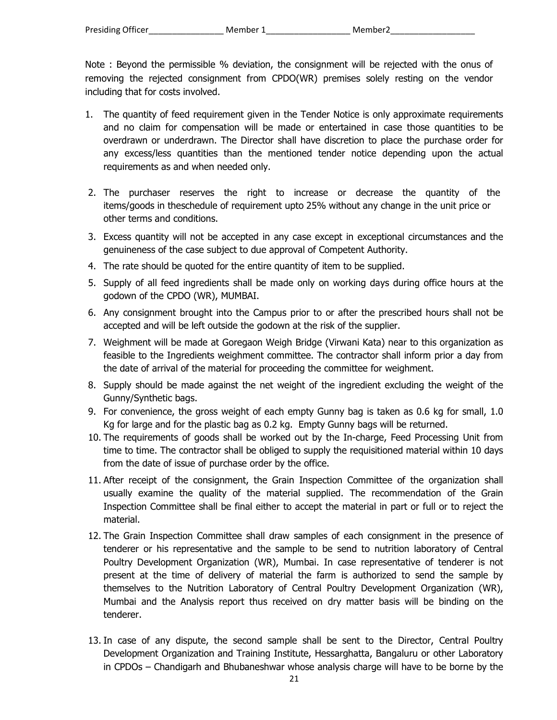Note : Beyond the permissible % deviation, the consignment will be rejected with the onus of removing the rejected consignment from CPDO(WR) premises solely resting on the vendor including that for costs involved.

- 1. The quantity of feed requirement given in the Tender Notice is only approximate requirements and no claim for compensation will be made or entertained in case those quantities to be overdrawn or underdrawn. The Director shall have discretion to place the purchase order for any excess/less quantities than the mentioned tender notice depending upon the actual requirements as and when needed only.
- 2. The purchaser reserves the right to increase or decrease the quantity of the items/goods in theschedule of requirement upto 25% without any change in the unit price or other terms and conditions.
- 3. Excess quantity will not be accepted in any case except in exceptional circumstances and the genuineness of the case subject to due approval of Competent Authority.
- 4. The rate should be quoted for the entire quantity of item to be supplied.
- 5. Supply of all feed ingredients shall be made only on working days during office hours at the godown of the CPDO (WR), MUMBAI.
- 6. Any consignment brought into the Campus prior to or after the prescribed hours shall not be accepted and will be left outside the godown at the risk of the supplier.
- 7. Weighment will be made at Goregaon Weigh Bridge (Virwani Kata) near to this organization as feasible to the Ingredients weighment committee. The contractor shall inform prior a day from the date of arrival of the material for proceeding the committee for weighment.
- 8. Supply should be made against the net weight of the ingredient excluding the weight of the Gunny/Synthetic bags.
- 9. For convenience, the gross weight of each empty Gunny bag is taken as 0.6 kg for small, 1.0 Kg for large and for the plastic bag as 0.2 kg. Empty Gunny bags will be returned.
- 10. The requirements of goods shall be worked out by the In-charge, Feed Processing Unit from time to time. The contractor shall be obliged to supply the requisitioned material within 10 days from the date of issue of purchase order by the office.
- 11. After receipt of the consignment, the Grain Inspection Committee of the organization shall usually examine the quality of the material supplied. The recommendation of the Grain Inspection Committee shall be final either to accept the material in part or full or to reject the material.
- 12. The Grain Inspection Committee shall draw samples of each consignment in the presence of tenderer or his representative and the sample to be send to nutrition laboratory of Central Poultry Development Organization (WR), Mumbai. In case representative of tenderer is not present at the time of delivery of material the farm is authorized to send the sample by themselves to the Nutrition Laboratory of Central Poultry Development Organization (WR), Mumbai and the Analysis report thus received on dry matter basis will be binding on the tenderer.
- 13. In case of any dispute, the second sample shall be sent to the Director, Central Poultry Development Organization and Training Institute, Hessarghatta, Bangaluru or other Laboratory in CPDOs – Chandigarh and Bhubaneshwar whose analysis charge will have to be borne by the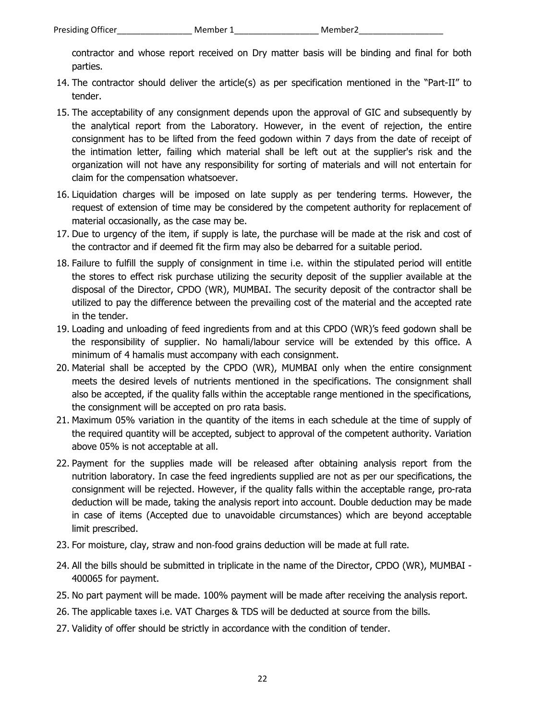contractor and whose report received on Dry matter basis will be binding and final for both parties.

- 14. The contractor should deliver the article(s) as per specification mentioned in the "Part-II" to tender.
- 15. The acceptability of any consignment depends upon the approval of GIC and subsequently by the analytical report from the Laboratory. However, in the event of rejection, the entire consignment has to be lifted from the feed godown within 7 days from the date of receipt of the intimation letter, failing which material shall be left out at the supplier's risk and the organization will not have any responsibility for sorting of materials and will not entertain for claim for the compensation whatsoever.
- 16. Liquidation charges will be imposed on late supply as per tendering terms. However, the request of extension of time may be considered by the competent authority for replacement of material occasionally, as the case may be.
- 17. Due to urgency of the item, if supply is late, the purchase will be made at the risk and cost of the contractor and if deemed fit the firm may also be debarred for a suitable period.
- 18. Failure to fulfill the supply of consignment in time i.e. within the stipulated period will entitle the stores to effect risk purchase utilizing the security deposit of the supplier available at the disposal of the Director, CPDO (WR), MUMBAI. The security deposit of the contractor shall be utilized to pay the difference between the prevailing cost of the material and the accepted rate in the tender.
- 19. Loading and unloading of feed ingredients from and at this CPDO (WR)'s feed godown shall be the responsibility of supplier. No hamali/labour service will be extended by this office. A minimum of 4 hamalis must accompany with each consignment.
- 20. Material shall be accepted by the CPDO (WR), MUMBAI only when the entire consignment meets the desired levels of nutrients mentioned in the specifications. The consignment shall also be accepted, if the quality falls within the acceptable range mentioned in the specifications, the consignment will be accepted on pro rata basis.
- 21. Maximum 05% variation in the quantity of the items in each schedule at the time of supply of the required quantity will be accepted, subject to approval of the competent authority. Variation above 05% is not acceptable at all.
- 22. Payment for the supplies made will be released after obtaining analysis report from the nutrition laboratory. In case the feed ingredients supplied are not as per our specifications, the consignment will be rejected. However, if the quality falls within the acceptable range, pro-rata deduction will be made, taking the analysis report into account. Double deduction may be made in case of items (Accepted due to unavoidable circumstances) which are beyond acceptable limit prescribed.
- 23. For moisture, clay, straw and non‐food grains deduction will be made at full rate.
- 24. All the bills should be submitted in triplicate in the name of the Director, CPDO (WR), MUMBAI 400065 for payment.
- 25. No part payment will be made. 100% payment will be made after receiving the analysis report.
- 26. The applicable taxes i.e. VAT Charges & TDS will be deducted at source from the bills.
- 27. Validity of offer should be strictly in accordance with the condition of tender.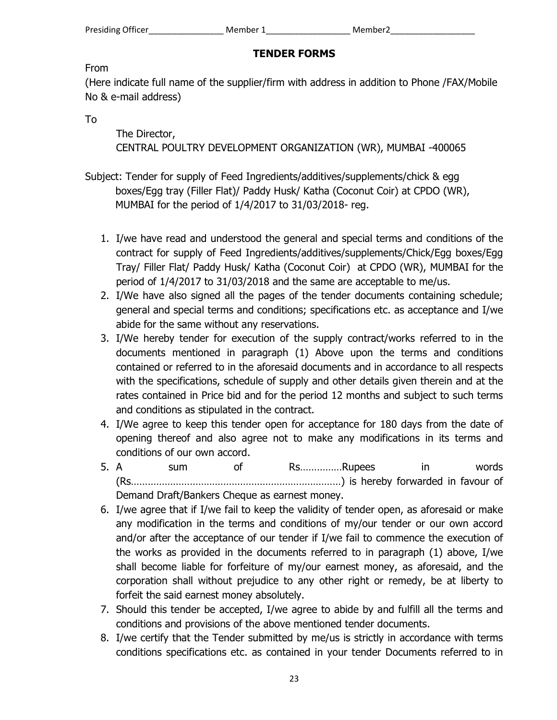# **TENDER FORMS**

# From

(Here indicate full name of the supplier/firm with address in addition to Phone /FAX/Mobile No & e-mail address)

To

 The Director, CENTRAL POULTRY DEVELOPMENT ORGANIZATION (WR), MUMBAI -400065

- Subject: Tender for supply of Feed Ingredients/additives/supplements/chick & egg boxes/Egg tray (Filler Flat)/ Paddy Husk/ Katha (Coconut Coir) at CPDO (WR), MUMBAI for the period of 1/4/2017 to 31/03/2018- reg.
	- 1. I/we have read and understood the general and special terms and conditions of the contract for supply of Feed Ingredients/additives/supplements/Chick/Egg boxes/Egg Tray/ Filler Flat/ Paddy Husk/ Katha (Coconut Coir) at CPDO (WR), MUMBAI for the period of 1/4/2017 to 31/03/2018 and the same are acceptable to me/us.
	- 2. I/We have also signed all the pages of the tender documents containing schedule; general and special terms and conditions; specifications etc. as acceptance and I/we abide for the same without any reservations.
	- 3. I/We hereby tender for execution of the supply contract/works referred to in the documents mentioned in paragraph (1) Above upon the terms and conditions contained or referred to in the aforesaid documents and in accordance to all respects with the specifications, schedule of supply and other details given therein and at the rates contained in Price bid and for the period 12 months and subject to such terms and conditions as stipulated in the contract.
	- 4. I/We agree to keep this tender open for acceptance for 180 days from the date of opening thereof and also agree not to make any modifications in its terms and conditions of our own accord.
	- 5. A sum of Rs……………Rupees in words (Rs…………………………………………………………………) is hereby forwarded in favour of Demand Draft/Bankers Cheque as earnest money.
	- 6. I/we agree that if I/we fail to keep the validity of tender open, as aforesaid or make any modification in the terms and conditions of my/our tender or our own accord and/or after the acceptance of our tender if I/we fail to commence the execution of the works as provided in the documents referred to in paragraph (1) above, I/we shall become liable for forfeiture of my/our earnest money, as aforesaid, and the corporation shall without prejudice to any other right or remedy, be at liberty to forfeit the said earnest money absolutely.
	- 7. Should this tender be accepted, I/we agree to abide by and fulfill all the terms and conditions and provisions of the above mentioned tender documents.
	- 8. I/we certify that the Tender submitted by me/us is strictly in accordance with terms conditions specifications etc. as contained in your tender Documents referred to in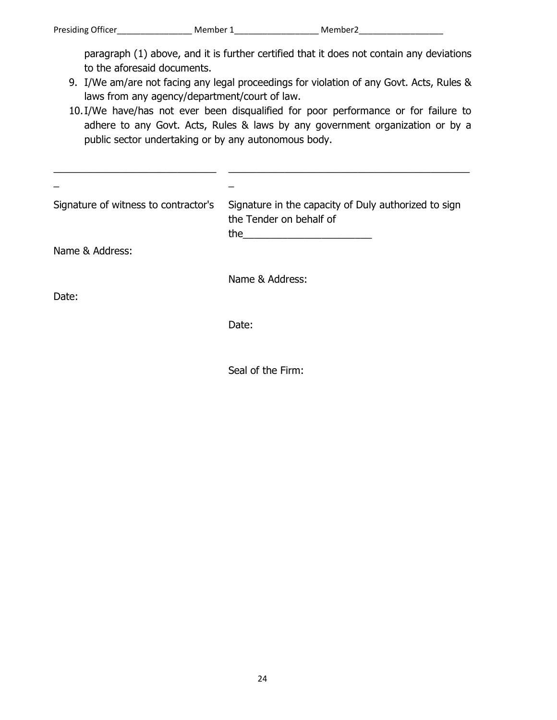paragraph (1) above, and it is further certified that it does not contain any deviations to the aforesaid documents.

- 9. I/We am/are not facing any legal proceedings for violation of any Govt. Acts, Rules & laws from any agency/department/court of law.
- 10.I/We have/has not ever been disqualified for poor performance or for failure to adhere to any Govt. Acts, Rules & laws by any government organization or by a public sector undertaking or by any autonomous body.

| Signature of witness to contractor's | Signature in the capacity of Duly authorized to sign<br>the Tender on behalf of<br>the<br>the control of the control of the control of the control of the control of |
|--------------------------------------|----------------------------------------------------------------------------------------------------------------------------------------------------------------------|
| Name & Address:                      |                                                                                                                                                                      |
|                                      | Name & Address:                                                                                                                                                      |
| Date:                                |                                                                                                                                                                      |
|                                      | Date:                                                                                                                                                                |
|                                      |                                                                                                                                                                      |

Seal of the Firm: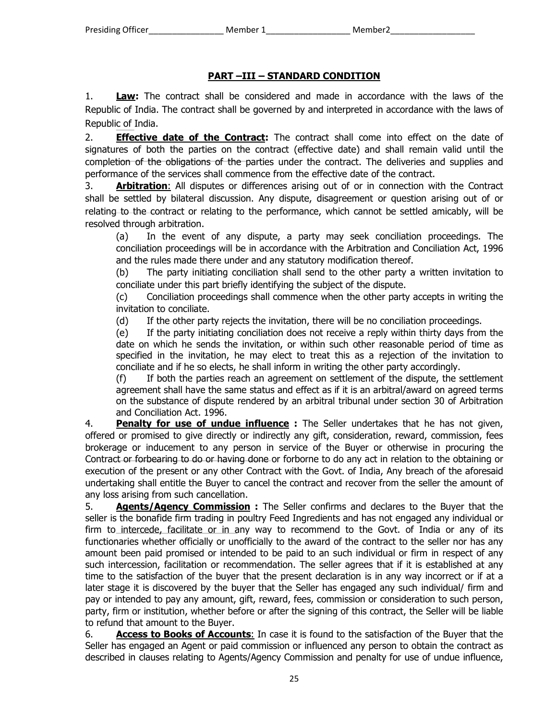# **PART –III – STANDARD CONDITION**

1. **Law:** The contract shall be considered and made in accordance with the laws of the Republic of India. The contract shall be governed by and interpreted in accordance with the laws of Republic of India.

2. **Effective date of the Contract:** The contract shall come into effect on the date of signatures of both the parties on the contract (effective date) and shall remain valid until the completion of the obligations of the parties under the contract. The deliveries and supplies and performance of the services shall commence from the effective date of the contract.

3. **Arbitration**: All disputes or differences arising out of or in connection with the Contract shall be settled by bilateral discussion. Any dispute, disagreement or question arising out of or relating to the contract or relating to the performance, which cannot be settled amicably, will be resolved through arbitration.

(a) In the event of any dispute, a party may seek conciliation proceedings. The conciliation proceedings will be in accordance with the Arbitration and Conciliation Act, 1996 and the rules made there under and any statutory modification thereof.

(b) The party initiating conciliation shall send to the other party a written invitation to conciliate under this part briefly identifying the subject of the dispute.

(c) Conciliation proceedings shall commence when the other party accepts in writing the invitation to conciliate.

(d) If the other party rejects the invitation, there will be no conciliation proceedings.

(e) If the party initiating conciliation does not receive a reply within thirty days from the date on which he sends the invitation, or within such other reasonable period of time as specified in the invitation, he may elect to treat this as a rejection of the invitation to conciliate and if he so elects, he shall inform in writing the other party accordingly.

(f) If both the parties reach an agreement on settlement of the dispute, the settlement agreement shall have the same status and effect as if it is an arbitral/award on agreed terms on the substance of dispute rendered by an arbitral tribunal under section 30 of Arbitration and Conciliation Act. 1996.

4. **Penalty for use of undue influence :** The Seller undertakes that he has not given, offered or promised to give directly or indirectly any gift, consideration, reward, commission, fees brokerage or inducement to any person in service of the Buyer or otherwise in procuring the Contract or forbearing to do or having done or forborne to do any act in relation to the obtaining or execution of the present or any other Contract with the Govt. of India, Any breach of the aforesaid undertaking shall entitle the Buyer to cancel the contract and recover from the seller the amount of any loss arising from such cancellation.

5. **Agents/Agency Commission :** The Seller confirms and declares to the Buyer that the seller is the bonafide firm trading in poultry Feed Ingredients and has not engaged any individual or firm to intercede, facilitate or in any way to recommend to the Govt. of India or any of its functionaries whether officially or unofficially to the award of the contract to the seller nor has any amount been paid promised or intended to be paid to an such individual or firm in respect of any such intercession, facilitation or recommendation. The seller agrees that if it is established at any time to the satisfaction of the buyer that the present declaration is in any way incorrect or if at a later stage it is discovered by the buyer that the Seller has engaged any such individual/ firm and pay or intended to pay any amount, gift, reward, fees, commission or consideration to such person, party, firm or institution, whether before or after the signing of this contract, the Seller will be liable to refund that amount to the Buyer.

6. **Access to Books of Accounts**: In case it is found to the satisfaction of the Buyer that the Seller has engaged an Agent or paid commission or influenced any person to obtain the contract as described in clauses relating to Agents/Agency Commission and penalty for use of undue influence,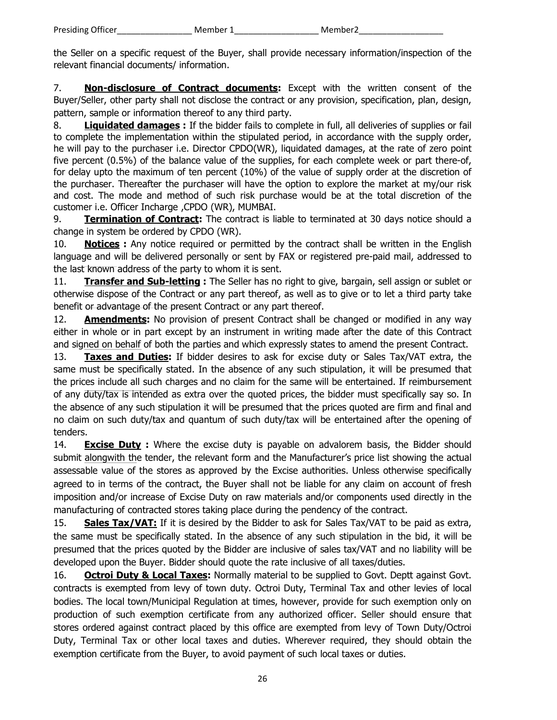the Seller on a specific request of the Buyer, shall provide necessary information/inspection of the relevant financial documents/ information.

7. **Non-disclosure of Contract documents:** Except with the written consent of the Buyer/Seller, other party shall not disclose the contract or any provision, specification, plan, design, pattern, sample or information thereof to any third party.

8. **Liquidated damages :** If the bidder fails to complete in full, all deliveries of supplies or fail to complete the implementation within the stipulated period, in accordance with the supply order, he will pay to the purchaser i.e. Director CPDO(WR), liquidated damages, at the rate of zero point five percent (0.5%) of the balance value of the supplies, for each complete week or part there-of, for delay upto the maximum of ten percent (10%) of the value of supply order at the discretion of the purchaser. Thereafter the purchaser will have the option to explore the market at my/our risk and cost. The mode and method of such risk purchase would be at the total discretion of the customer i.e. Officer Incharge ,CPDO (WR), MUMBAI.

9. **Termination of Contract:** The contract is liable to terminated at 30 days notice should a change in system be ordered by CPDO (WR).

10. **Notices :** Any notice required or permitted by the contract shall be written in the English language and will be delivered personally or sent by FAX or registered pre-paid mail, addressed to the last known address of the party to whom it is sent.

11. **Transfer and Sub-letting :** The Seller has no right to give, bargain, sell assign or sublet or otherwise dispose of the Contract or any part thereof, as well as to give or to let a third party take benefit or advantage of the present Contract or any part thereof.

12. **Amendments:** No provision of present Contract shall be changed or modified in any way either in whole or in part except by an instrument in writing made after the date of this Contract and signed on behalf of both the parties and which expressly states to amend the present Contract.

13. **Taxes and Duties:** If bidder desires to ask for excise duty or Sales Tax/VAT extra, the same must be specifically stated. In the absence of any such stipulation, it will be presumed that the prices include all such charges and no claim for the same will be entertained. If reimbursement of any duty/tax is intended as extra over the quoted prices, the bidder must specifically say so. In the absence of any such stipulation it will be presumed that the prices quoted are firm and final and no claim on such duty/tax and quantum of such duty/tax will be entertained after the opening of tenders.

14. **Excise Duty :** Where the excise duty is payable on advalorem basis, the Bidder should submit alongwith the tender, the relevant form and the Manufacturer's price list showing the actual assessable value of the stores as approved by the Excise authorities. Unless otherwise specifically agreed to in terms of the contract, the Buyer shall not be liable for any claim on account of fresh imposition and/or increase of Excise Duty on raw materials and/or components used directly in the manufacturing of contracted stores taking place during the pendency of the contract.

15. **Sales Tax/VAT:** If it is desired by the Bidder to ask for Sales Tax/VAT to be paid as extra, the same must be specifically stated. In the absence of any such stipulation in the bid, it will be presumed that the prices quoted by the Bidder are inclusive of sales tax/VAT and no liability will be developed upon the Buyer. Bidder should quote the rate inclusive of all taxes/duties.

16. **Octroi Duty & Local Taxes:** Normally material to be supplied to Govt. Deptt against Govt. contracts is exempted from levy of town duty. Octroi Duty, Terminal Tax and other levies of local bodies. The local town/Municipal Regulation at times, however, provide for such exemption only on production of such exemption certificate from any authorized officer. Seller should ensure that stores ordered against contract placed by this office are exempted from levy of Town Duty/Octroi Duty, Terminal Tax or other local taxes and duties. Wherever required, they should obtain the exemption certificate from the Buyer, to avoid payment of such local taxes or duties.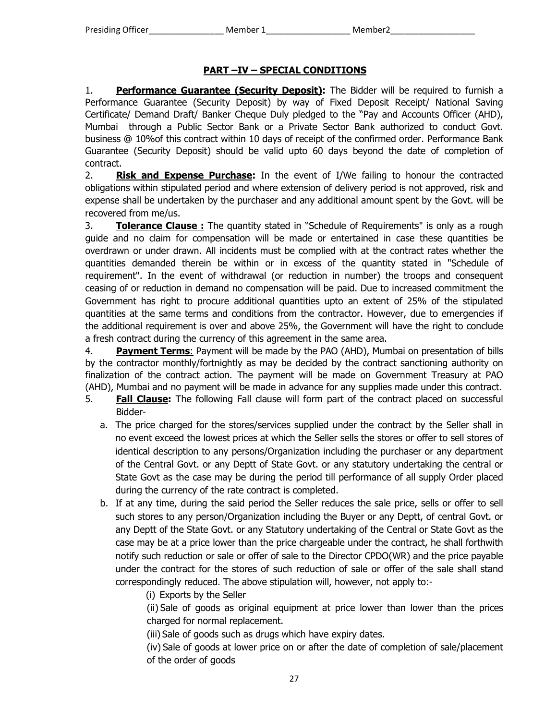# **PART –IV – SPECIAL CONDITIONS**

1. **Performance Guarantee (Security Deposit):** The Bidder will be required to furnish a Performance Guarantee (Security Deposit) by way of Fixed Deposit Receipt/ National Saving Certificate/ Demand Draft/ Banker Cheque Duly pledged to the "Pay and Accounts Officer (AHD), Mumbai through a Public Sector Bank or a Private Sector Bank authorized to conduct Govt. business @ 10%of this contract within 10 days of receipt of the confirmed order. Performance Bank Guarantee (Security Deposit) should be valid upto 60 days beyond the date of completion of contract.

2. **Risk and Expense Purchase:** In the event of I/We failing to honour the contracted obligations within stipulated period and where extension of delivery period is not approved, risk and expense shall be undertaken by the purchaser and any additional amount spent by the Govt. will be recovered from me/us.

3. **Tolerance Clause :** The quantity stated in "Schedule of Requirements" is only as a rough guide and no claim for compensation will be made or entertained in case these quantities be overdrawn or under drawn. All incidents must be complied with at the contract rates whether the quantities demanded therein be within or in excess of the quantity stated in "Schedule of requirement". In the event of withdrawal (or reduction in number) the troops and consequent ceasing of or reduction in demand no compensation will be paid. Due to increased commitment the Government has right to procure additional quantities upto an extent of 25% of the stipulated quantities at the same terms and conditions from the contractor. However, due to emergencies if the additional requirement is over and above 25%, the Government will have the right to conclude a fresh contract during the currency of this agreement in the same area.

4. **Payment Terms**: Payment will be made by the PAO (AHD), Mumbai on presentation of bills by the contractor monthly/fortnightly as may be decided by the contract sanctioning authority on finalization of the contract action. The payment will be made on Government Treasury at PAO (AHD), Mumbai and no payment will be made in advance for any supplies made under this contract.

- 5. **Fall Clause:** The following Fall clause will form part of the contract placed on successful Bidder
	- a. The price charged for the stores/services supplied under the contract by the Seller shall in no event exceed the lowest prices at which the Seller sells the stores or offer to sell stores of identical description to any persons/Organization including the purchaser or any department of the Central Govt. or any Deptt of State Govt. or any statutory undertaking the central or State Govt as the case may be during the period till performance of all supply Order placed during the currency of the rate contract is completed.
	- b. If at any time, during the said period the Seller reduces the sale price, sells or offer to sell such stores to any person/Organization including the Buyer or any Deptt, of central Govt. or any Deptt of the State Govt. or any Statutory undertaking of the Central or State Govt as the case may be at a price lower than the price chargeable under the contract, he shall forthwith notify such reduction or sale or offer of sale to the Director CPDO(WR) and the price payable under the contract for the stores of such reduction of sale or offer of the sale shall stand correspondingly reduced. The above stipulation will, however, not apply to:-
		- (i) Exports by the Seller

(ii) Sale of goods as original equipment at price lower than lower than the prices charged for normal replacement.

(iii) Sale of goods such as drugs which have expiry dates.

(iv) Sale of goods at lower price on or after the date of completion of sale/placement of the order of goods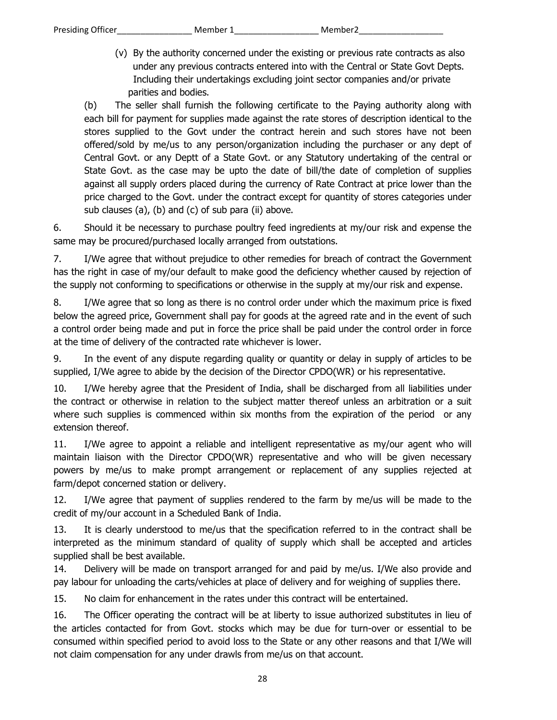(v) By the authority concerned under the existing or previous rate contracts as also under any previous contracts entered into with the Central or State Govt Depts. Including their undertakings excluding joint sector companies and/or private parities and bodies.

(b) The seller shall furnish the following certificate to the Paying authority along with each bill for payment for supplies made against the rate stores of description identical to the stores supplied to the Govt under the contract herein and such stores have not been offered/sold by me/us to any person/organization including the purchaser or any dept of Central Govt. or any Deptt of a State Govt. or any Statutory undertaking of the central or State Govt. as the case may be upto the date of bill/the date of completion of supplies against all supply orders placed during the currency of Rate Contract at price lower than the price charged to the Govt. under the contract except for quantity of stores categories under sub clauses (a), (b) and (c) of sub para (ii) above.

6. Should it be necessary to purchase poultry feed ingredients at my/our risk and expense the same may be procured/purchased locally arranged from outstations.

7. I/We agree that without prejudice to other remedies for breach of contract the Government has the right in case of my/our default to make good the deficiency whether caused by rejection of the supply not conforming to specifications or otherwise in the supply at my/our risk and expense.

8. I/We agree that so long as there is no control order under which the maximum price is fixed below the agreed price, Government shall pay for goods at the agreed rate and in the event of such a control order being made and put in force the price shall be paid under the control order in force at the time of delivery of the contracted rate whichever is lower.

9. In the event of any dispute regarding quality or quantity or delay in supply of articles to be supplied, I/We agree to abide by the decision of the Director CPDO(WR) or his representative.

10. I/We hereby agree that the President of India, shall be discharged from all liabilities under the contract or otherwise in relation to the subject matter thereof unless an arbitration or a suit where such supplies is commenced within six months from the expiration of the period or any extension thereof.

11. I/We agree to appoint a reliable and intelligent representative as my/our agent who will maintain liaison with the Director CPDO(WR) representative and who will be given necessary powers by me/us to make prompt arrangement or replacement of any supplies rejected at farm/depot concerned station or delivery.

12. I/We agree that payment of supplies rendered to the farm by me/us will be made to the credit of my/our account in a Scheduled Bank of India.

13. It is clearly understood to me/us that the specification referred to in the contract shall be interpreted as the minimum standard of quality of supply which shall be accepted and articles supplied shall be best available.

14. Delivery will be made on transport arranged for and paid by me/us. I/We also provide and pay labour for unloading the carts/vehicles at place of delivery and for weighing of supplies there.

15. No claim for enhancement in the rates under this contract will be entertained.

16. The Officer operating the contract will be at liberty to issue authorized substitutes in lieu of the articles contacted for from Govt. stocks which may be due for turn-over or essential to be consumed within specified period to avoid loss to the State or any other reasons and that I/We will not claim compensation for any under drawls from me/us on that account.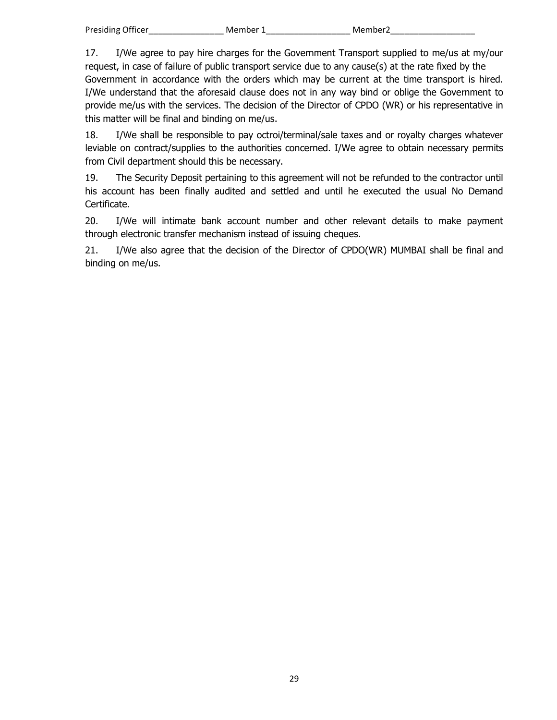17. I/We agree to pay hire charges for the Government Transport supplied to me/us at my/our request, in case of failure of public transport service due to any cause(s) at the rate fixed by the Government in accordance with the orders which may be current at the time transport is hired. I/We understand that the aforesaid clause does not in any way bind or oblige the Government to provide me/us with the services. The decision of the Director of CPDO (WR) or his representative in this matter will be final and binding on me/us.

18. I/We shall be responsible to pay octroi/terminal/sale taxes and or royalty charges whatever leviable on contract/supplies to the authorities concerned. I/We agree to obtain necessary permits from Civil department should this be necessary.

19. The Security Deposit pertaining to this agreement will not be refunded to the contractor until his account has been finally audited and settled and until he executed the usual No Demand Certificate.

20. I/We will intimate bank account number and other relevant details to make payment through electronic transfer mechanism instead of issuing cheques.

21. I/We also agree that the decision of the Director of CPDO(WR) MUMBAI shall be final and binding on me/us.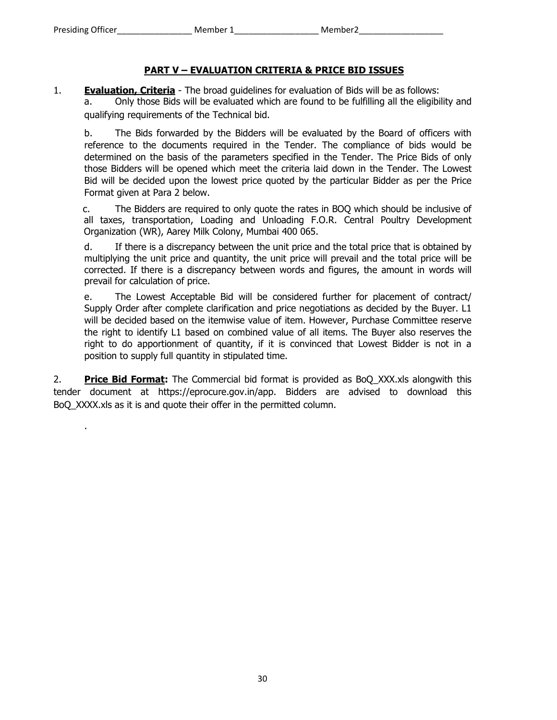.

# **PART V – EVALUATION CRITERIA & PRICE BID ISSUES**

1. **Evaluation, Criteria** - The broad guidelines for evaluation of Bids will be as follows: a. Only those Bids will be evaluated which are found to be fulfilling all the eligibility and qualifying requirements of the Technical bid.

b. The Bids forwarded by the Bidders will be evaluated by the Board of officers with reference to the documents required in the Tender. The compliance of bids would be determined on the basis of the parameters specified in the Tender. The Price Bids of only those Bidders will be opened which meet the criteria laid down in the Tender. The Lowest Bid will be decided upon the lowest price quoted by the particular Bidder as per the Price Format given at Para 2 below.

c. The Bidders are required to only quote the rates in BOQ which should be inclusive of all taxes, transportation, Loading and Unloading F.O.R. Central Poultry Development Organization (WR), Aarey Milk Colony, Mumbai 400 065.

d. If there is a discrepancy between the unit price and the total price that is obtained by multiplying the unit price and quantity, the unit price will prevail and the total price will be corrected. If there is a discrepancy between words and figures, the amount in words will prevail for calculation of price.

e. The Lowest Acceptable Bid will be considered further for placement of contract/ Supply Order after complete clarification and price negotiations as decided by the Buyer. L1 will be decided based on the itemwise value of item. However, Purchase Committee reserve the right to identify L1 based on combined value of all items. The Buyer also reserves the right to do apportionment of quantity, if it is convinced that Lowest Bidder is not in a position to supply full quantity in stipulated time.

2. **Price Bid Format:** The Commercial bid format is provided as BoQ\_XXX.xls alongwith this tender document at https://eprocure.gov.in/app. Bidders are advised to download this BoQ\_XXXX.xls as it is and quote their offer in the permitted column.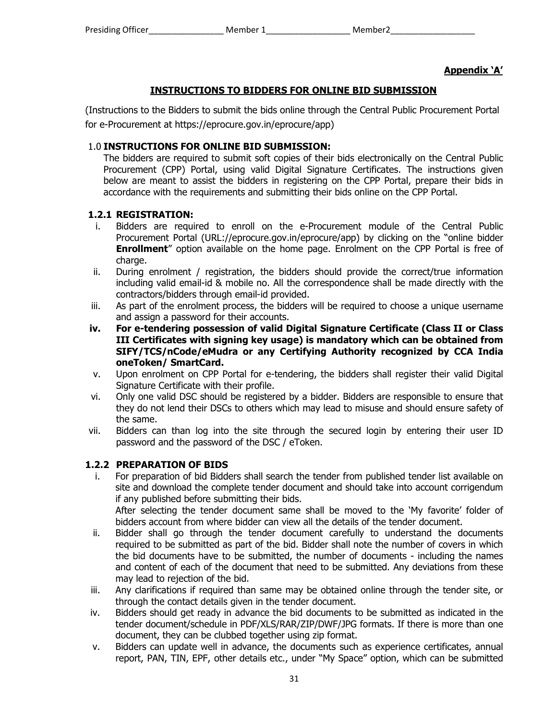# **Appendix 'A'**

## **INSTRUCTIONS TO BIDDERS FOR ONLINE BID SUBMISSION**

(Instructions to the Bidders to submit the bids online through the Central Public Procurement Portal for e-Procurement at https://eprocure.gov.in/eprocure/app)

## 1.0 **INSTRUCTIONS FOR ONLINE BID SUBMISSION:**

The bidders are required to submit soft copies of their bids electronically on the Central Public Procurement (CPP) Portal, using valid Digital Signature Certificates. The instructions given below are meant to assist the bidders in registering on the CPP Portal, prepare their bids in accordance with the requirements and submitting their bids online on the CPP Portal.

#### **1.2.1 REGISTRATION:**

- i. Bidders are required to enroll on the e-Procurement module of the Central Public Procurement Portal (URL://eprocure.gov.in/eprocure/app) by clicking on the "online bidder **Enrollment**" option available on the home page. Enrolment on the CPP Portal is free of charge.
- ii. During enrolment / registration, the bidders should provide the correct/true information including valid email-id & mobile no. All the correspondence shall be made directly with the contractors/bidders through email-id provided.
- iii. As part of the enrolment process, the bidders will be required to choose a unique username and assign a password for their accounts.
- **iv. For e-tendering possession of valid Digital Signature Certificate (Class II or Class III Certificates with signing key usage) is mandatory which can be obtained from SIFY/TCS/nCode/eMudra or any Certifying Authority recognized by CCA India oneToken/ SmartCard.**
- v. Upon enrolment on CPP Portal for e-tendering, the bidders shall register their valid Digital Signature Certificate with their profile.
- vi. Only one valid DSC should be registered by a bidder. Bidders are responsible to ensure that they do not lend their DSCs to others which may lead to misuse and should ensure safety of the same.
- vii. Bidders can than log into the site through the secured login by entering their user ID password and the password of the DSC / eToken.

## **1.2.2 PREPARATION OF BIDS**

- i. For preparation of bid Bidders shall search the tender from published tender list available on site and download the complete tender document and should take into account corrigendum if any published before submitting their bids. After selecting the tender document same shall be moved to the 'My favorite' folder of bidders account from where bidder can view all the details of the tender document.
- ii. Bidder shall go through the tender document carefully to understand the documents required to be submitted as part of the bid. Bidder shall note the number of covers in which the bid documents have to be submitted, the number of documents - including the names and content of each of the document that need to be submitted. Any deviations from these may lead to rejection of the bid.
- iii. Any clarifications if required than same may be obtained online through the tender site, or through the contact details given in the tender document.
- iv. Bidders should get ready in advance the bid documents to be submitted as indicated in the tender document/schedule in PDF/XLS/RAR/ZIP/DWF/JPG formats. If there is more than one document, they can be clubbed together using zip format.
- v. Bidders can update well in advance, the documents such as experience certificates, annual report, PAN, TIN, EPF, other details etc., under "My Space" option, which can be submitted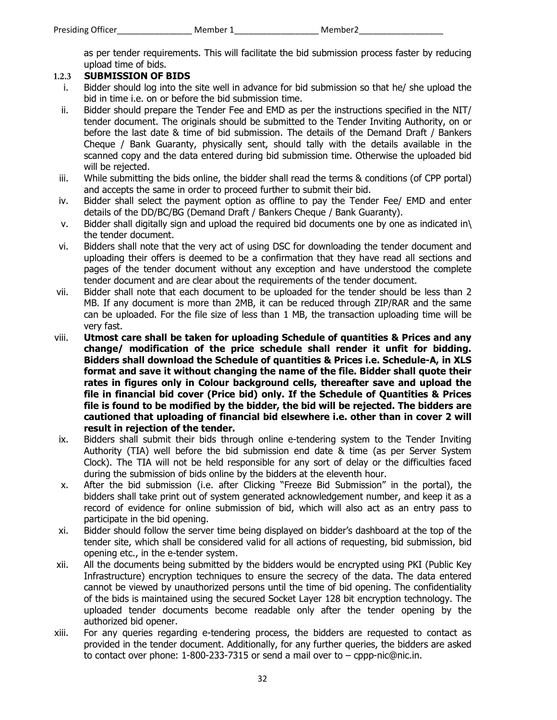as per tender requirements. This will facilitate the bid submission process faster by reducing upload time of bids.

# **1.2.3 SUBMISSION OF BIDS**

- i. Bidder should log into the site well in advance for bid submission so that he/ she upload the bid in time i.e. on or before the bid submission time.
- ii. Bidder should prepare the Tender Fee and EMD as per the instructions specified in the NIT/ tender document. The originals should be submitted to the Tender Inviting Authority, on or before the last date & time of bid submission. The details of the Demand Draft / Bankers Cheque / Bank Guaranty, physically sent, should tally with the details available in the scanned copy and the data entered during bid submission time. Otherwise the uploaded bid will be rejected.
- iii. While submitting the bids online, the bidder shall read the terms & conditions (of CPP portal) and accepts the same in order to proceed further to submit their bid.
- iv. Bidder shall select the payment option as offline to pay the Tender Fee/ EMD and enter details of the DD/BC/BG (Demand Draft / Bankers Cheque / Bank Guaranty).
- v. Bidder shall digitally sign and upload the required bid documents one by one as indicated in\ the tender document.
- vi. Bidders shall note that the very act of using DSC for downloading the tender document and uploading their offers is deemed to be a confirmation that they have read all sections and pages of the tender document without any exception and have understood the complete tender document and are clear about the requirements of the tender document.
- vii. Bidder shall note that each document to be uploaded for the tender should be less than 2 MB. If any document is more than 2MB, it can be reduced through ZIP/RAR and the same can be uploaded. For the file size of less than 1 MB, the transaction uploading time will be very fast.
- viii. **Utmost care shall be taken for uploading Schedule of quantities & Prices and any change/ modification of the price schedule shall render it unfit for bidding. Bidders shall download the Schedule of quantities & Prices i.e. Schedule-A, in XLS format and save it without changing the name of the file. Bidder shall quote their rates in figures only in Colour background cells, thereafter save and upload the file in financial bid cover (Price bid) only. If the Schedule of Quantities & Prices file is found to be modified by the bidder, the bid will be rejected. The bidders are cautioned that uploading of financial bid elsewhere i.e. other than in cover 2 will result in rejection of the tender.**
- ix. Bidders shall submit their bids through online e-tendering system to the Tender Inviting Authority (TIA) well before the bid submission end date & time (as per Server System Clock). The TIA will not be held responsible for any sort of delay or the difficulties faced during the submission of bids online by the bidders at the eleventh hour.
- x. After the bid submission (i.e. after Clicking "Freeze Bid Submission" in the portal), the bidders shall take print out of system generated acknowledgement number, and keep it as a record of evidence for online submission of bid, which will also act as an entry pass to participate in the bid opening.
- xi. Bidder should follow the server time being displayed on bidder's dashboard at the top of the tender site, which shall be considered valid for all actions of requesting, bid submission, bid opening etc., in the e-tender system.
- xii. All the documents being submitted by the bidders would be encrypted using PKI (Public Key Infrastructure) encryption techniques to ensure the secrecy of the data. The data entered cannot be viewed by unauthorized persons until the time of bid opening. The confidentiality of the bids is maintained using the secured Socket Layer 128 bit encryption technology. The uploaded tender documents become readable only after the tender opening by the authorized bid opener.
- xiii. For any queries regarding e-tendering process, the bidders are requested to contact as provided in the tender document. Additionally, for any further queries, the bidders are asked to contact over phone: 1-800-233-7315 or send a mail over to – cppp-nic@nic.in.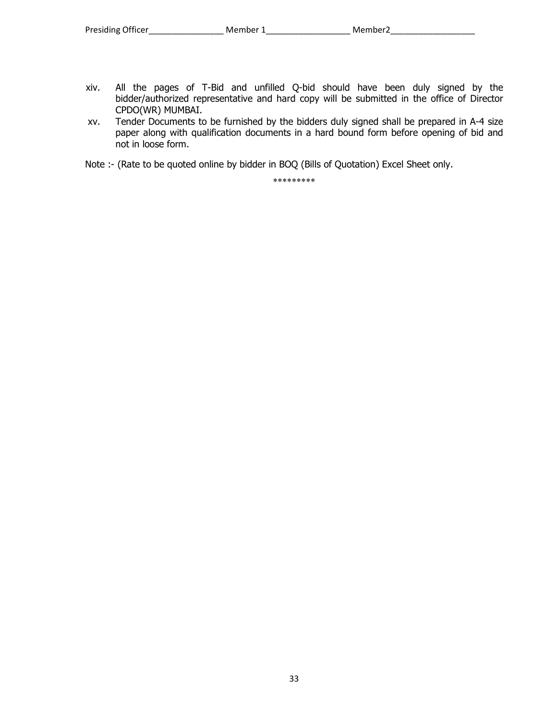- xiv. All the pages of T-Bid and unfilled Q-bid should have been duly signed by the bidder/authorized representative and hard copy will be submitted in the office of Director CPDO(WR) MUMBAI.
- xv. Tender Documents to be furnished by the bidders duly signed shall be prepared in A-4 size paper along with qualification documents in a hard bound form before opening of bid and not in loose form.

Note :- (Rate to be quoted online by bidder in BOQ (Bills of Quotation) Excel Sheet only.

\*\*\*\*\*\*\*\*\*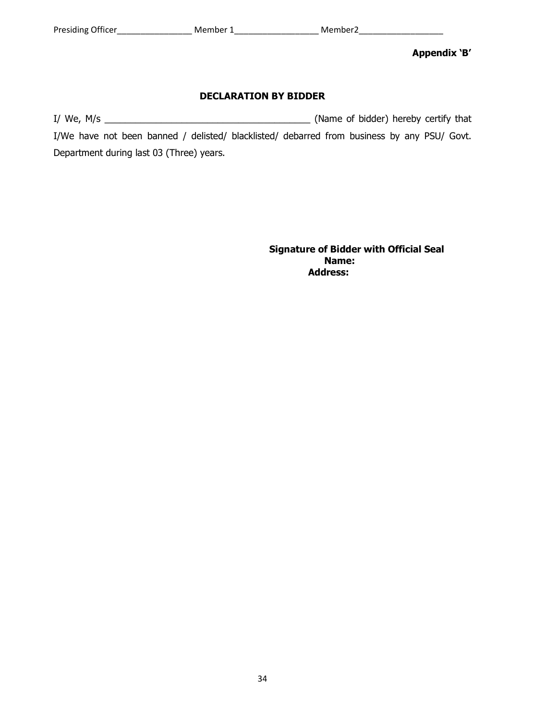**Appendix 'B'** 

#### **DECLARATION BY BIDDER**

I/ We, M/s \_\_\_\_\_\_\_\_\_\_\_\_\_\_\_\_\_\_\_\_\_\_\_\_\_\_\_\_\_\_\_\_\_\_\_\_\_\_\_\_ (Name of bidder) hereby certify that I/We have not been banned / delisted/ blacklisted/ debarred from business by any PSU/ Govt. Department during last 03 (Three) years.

**Signature of Bidder with Official Seal**  *Name:* **Name:**  *Name: Name:*  **Address:**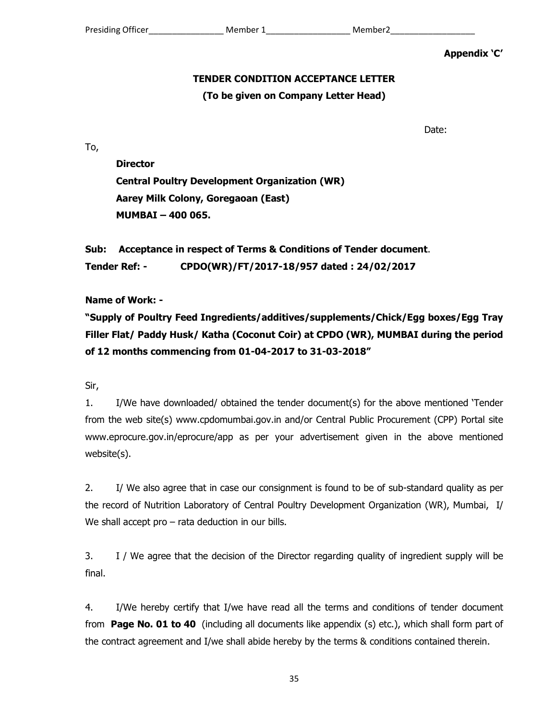**Appendix 'C'** 

## **TENDER CONDITION ACCEPTANCE LETTER**

## **(To be given on Company Letter Head)**

Date:

To,

**Director Central Poultry Development Organization (WR) Aarey Milk Colony, Goregaoan (East) MUMBAI – 400 065.** 

**Sub: Acceptance in respect of Terms & Conditions of Tender document**. **Tender Ref: - CPDO(WR)/FT/2017-18/957 dated : 24/02/2017** 

**Name of Work: -** 

**"Supply of Poultry Feed Ingredients/additives/supplements/Chick/Egg boxes/Egg Tray Filler Flat/ Paddy Husk/ Katha (Coconut Coir) at CPDO (WR), MUMBAI during the period of 12 months commencing from 01-04-2017 to 31-03-2018"** 

Sir,

1. I/We have downloaded/ obtained the tender document(s) for the above mentioned 'Tender from the web site(s) www.cpdomumbai.gov.in and/or Central Public Procurement (CPP) Portal site www.eprocure.gov.in/eprocure/app as per your advertisement given in the above mentioned website(s).

2. I/ We also agree that in case our consignment is found to be of sub-standard quality as per the record of Nutrition Laboratory of Central Poultry Development Organization (WR), Mumbai, I/ We shall accept pro – rata deduction in our bills.

3. I / We agree that the decision of the Director regarding quality of ingredient supply will be final.

4. I/We hereby certify that I/we have read all the terms and conditions of tender document from **Page No. 01 to 40** (including all documents like appendix (s) etc.), which shall form part of the contract agreement and I/we shall abide hereby by the terms & conditions contained therein.

35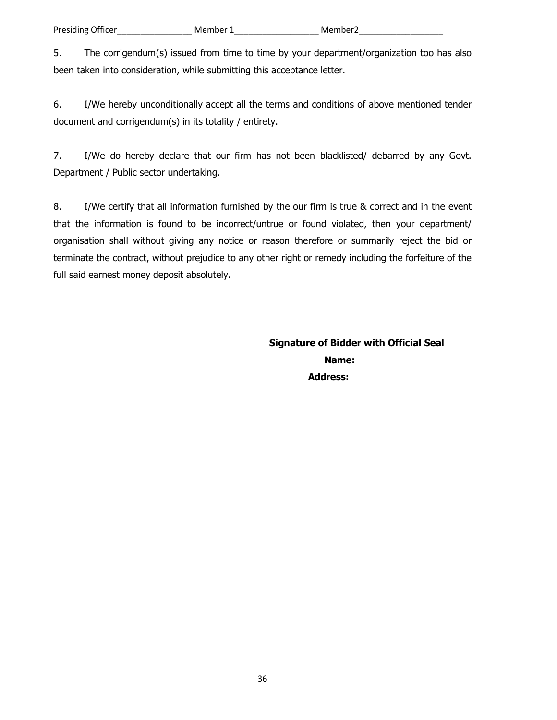5. The corrigendum(s) issued from time to time by your department/organization too has also been taken into consideration, while submitting this acceptance letter.

6. I/We hereby unconditionally accept all the terms and conditions of above mentioned tender document and corrigendum(s) in its totality / entirety.

7. I/We do hereby declare that our firm has not been blacklisted/ debarred by any Govt. Department / Public sector undertaking.

8. I/We certify that all information furnished by the our firm is true & correct and in the event that the information is found to be incorrect/untrue or found violated, then your department/ organisation shall without giving any notice or reason therefore or summarily reject the bid or terminate the contract, without prejudice to any other right or remedy including the forfeiture of the full said earnest money deposit absolutely.

**Signature of Bidder with Official Seal**  *Name:* **Name:**  *Name: Name:*  **Address:**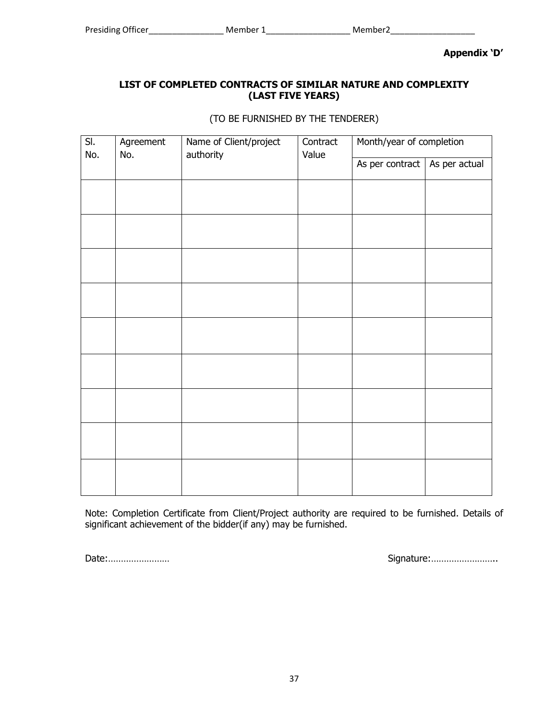**Appendix 'D'** 

## **LIST OF COMPLETED CONTRACTS OF SIMILAR NATURE AND COMPLEXITY (LAST FIVE YEARS)**

(TO BE FURNISHED BY THE TENDERER)

|                         | Value |                                 | Month/year of completion |
|-------------------------|-------|---------------------------------|--------------------------|
| authority<br>No.<br>No. |       | As per contract   As per actual |                          |
|                         |       |                                 |                          |
|                         |       |                                 |                          |
|                         |       |                                 |                          |
|                         |       |                                 |                          |
|                         |       |                                 |                          |
|                         |       |                                 |                          |
|                         |       |                                 |                          |
|                         |       |                                 |                          |
|                         |       |                                 |                          |
|                         |       |                                 |                          |
|                         |       |                                 |                          |

Note: Completion Certificate from Client/Project authority are required to be furnished. Details of significant achievement of the bidder(if any) may be furnished.

Date:…………………… Signature:……………………..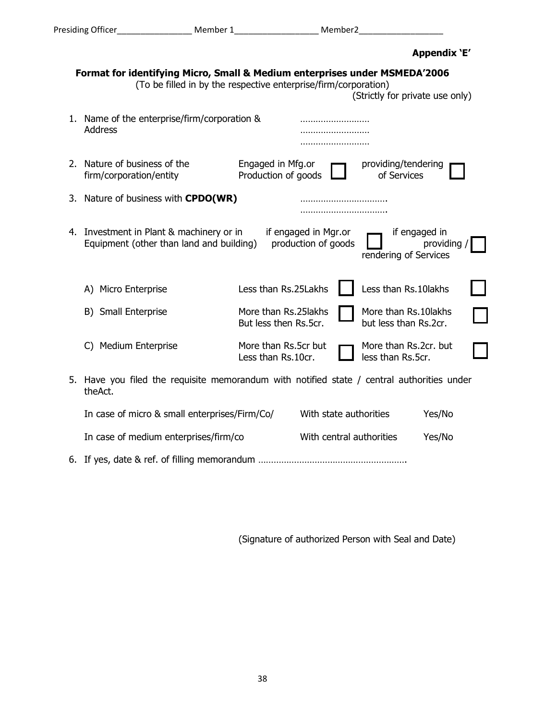|                                                                                                                                                                                  |                                                                                                       |                                                |                                             |                                                | Appendix 'E'               |  |
|----------------------------------------------------------------------------------------------------------------------------------------------------------------------------------|-------------------------------------------------------------------------------------------------------|------------------------------------------------|---------------------------------------------|------------------------------------------------|----------------------------|--|
| Format for identifying Micro, Small & Medium enterprises under MSMEDA'2006<br>(To be filled in by the respective enterprise/firm/corporation)<br>(Strictly for private use only) |                                                                                                       |                                                |                                             |                                                |                            |  |
|                                                                                                                                                                                  | 1. Name of the enterprise/firm/corporation &<br><b>Address</b>                                        |                                                | .                                           |                                                |                            |  |
|                                                                                                                                                                                  | 2. Nature of business of the<br>firm/corporation/entity                                               | Engaged in Mfg.or<br>Production of goods       |                                             | providing/tendering<br>of Services             |                            |  |
|                                                                                                                                                                                  | 3. Nature of business with <b>CPDO(WR)</b>                                                            |                                                |                                             |                                                |                            |  |
|                                                                                                                                                                                  | 4. Investment in Plant & machinery or in<br>Equipment (other than land and building)                  |                                                | if engaged in Mgr.or<br>production of goods | rendering of Services                          | if engaged in<br>providing |  |
|                                                                                                                                                                                  | A) Micro Enterprise                                                                                   | Less than Rs.25Lakhs                           |                                             | Less than Rs.10lakhs                           |                            |  |
|                                                                                                                                                                                  | B) Small Enterprise                                                                                   | More than Rs.25 lakhs<br>But less then Rs.5cr. |                                             | More than Rs.10 lakhs<br>but less than Rs.2cr. |                            |  |
|                                                                                                                                                                                  | <b>Medium Enterprise</b><br>C)                                                                        | More than Rs.5cr but<br>Less than Rs.10cr.     |                                             | More than Rs.2cr. but<br>less than Rs.5cr.     |                            |  |
|                                                                                                                                                                                  | 5. Have you filed the requisite memorandum with notified state / central authorities under<br>theAct. |                                                |                                             |                                                |                            |  |
|                                                                                                                                                                                  | In case of micro & small enterprises/Firm/Co/                                                         |                                                | With state authorities                      |                                                | Yes/No                     |  |
|                                                                                                                                                                                  | In case of medium enterprises/firm/co                                                                 |                                                | With central authorities                    |                                                | Yes/No                     |  |

6. If yes, date & ref. of filling memorandum ………………………………………………….

(Signature of authorized Person with Seal and Date)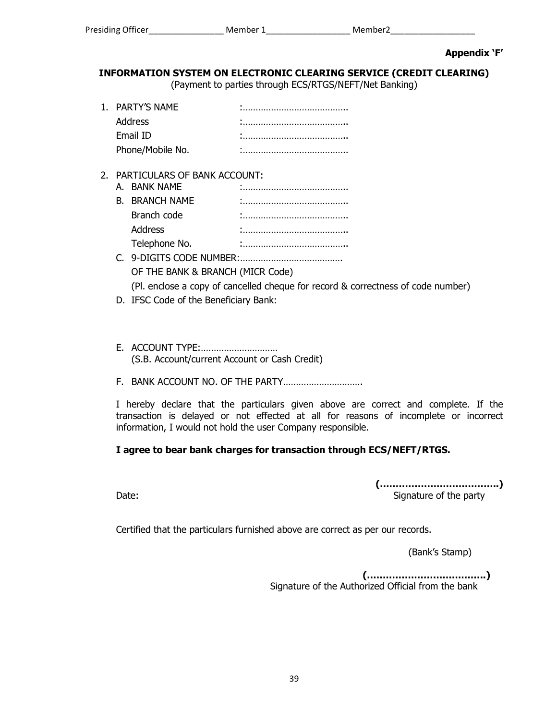**Appendix 'F'** 

# **INFORMATION SYSTEM ON ELECTRONIC CLEARING SERVICE (CREDIT CLEARING)**

(Payment to parties through ECS/RTGS/NEFT/Net Banking)

| 1. PARTY'S NAME  |  |
|------------------|--|
| Address          |  |
| Email ID         |  |
| Phone/Mobile No. |  |

## 2. PARTICULARS OF BANK ACCOUNT:

| A. BANK NAME            |  |
|-------------------------|--|
| <b>B. BRANCH NAME</b>   |  |
| Branch code             |  |
| Address                 |  |
| Telephone No.           |  |
| 9-DIGITS CODE NI IMRER. |  |

- 5ITS CODE NUMBER:………………………………… OF THE BANK & BRANCH (MICR Code) (Pl. enclose a copy of cancelled cheque for record & correctness of code number)
- D. IFSC Code of the Beneficiary Bank:
- E. ACCOUNT TYPE:………………………… (S.B. Account/current Account or Cash Credit)
- F. BANK ACCOUNT NO. OF THE PARTY………………………….

I hereby declare that the particulars given above are correct and complete. If the transaction is delayed or not effected at all for reasons of incomplete or incorrect information, I would not hold the user Company responsible.

## **I agree to bear bank charges for transaction through ECS/NEFT/RTGS.**

**(………………………………..)**  Date: **Date: Signature of the party** 

Certified that the particulars furnished above are correct as per our records.

(Bank's Stamp)

 **(………………………………..)**  Signature of the Authorized Official from the bank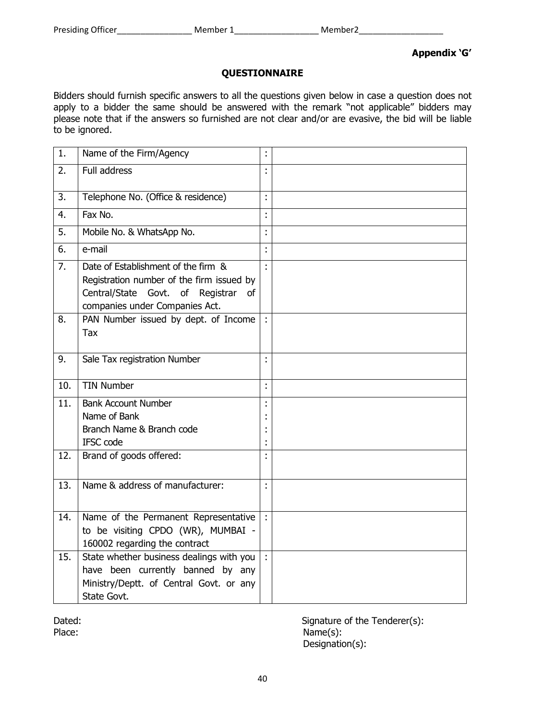#### **Appendix 'G'**

#### **QUESTIONNAIRE**

Bidders should furnish specific answers to all the questions given below in case a question does not apply to a bidder the same should be answered with the remark "not applicable" bidders may please note that if the answers so furnished are not clear and/or are evasive, the bid will be liable to be ignored.

| 1.  | Name of the Firm/Agency                                                                                                                                   |                         |  |
|-----|-----------------------------------------------------------------------------------------------------------------------------------------------------------|-------------------------|--|
| 2.  | <b>Full address</b>                                                                                                                                       | ÷                       |  |
| 3.  | Telephone No. (Office & residence)                                                                                                                        | $\ddot{\phantom{a}}$    |  |
| 4.  | Fax No.                                                                                                                                                   | $\blacksquare$          |  |
| 5.  | Mobile No. & WhatsApp No.                                                                                                                                 | ÷                       |  |
| 6.  | e-mail                                                                                                                                                    | ÷                       |  |
| 7.  | Date of Establishment of the firm &<br>Registration number of the firm issued by<br>Central/State Govt. of Registrar of<br>companies under Companies Act. | $\overline{\mathbf{r}}$ |  |
| 8.  | PAN Number issued by dept. of Income<br>Tax                                                                                                               |                         |  |
| 9.  | Sale Tax registration Number                                                                                                                              | ÷,                      |  |
| 10. | <b>TIN Number</b>                                                                                                                                         | Ì.                      |  |
| 11. | <b>Bank Account Number</b><br>Name of Bank<br>Branch Name & Branch code<br>IFSC code                                                                      | ÷<br>t                  |  |
| 12. | Brand of goods offered:                                                                                                                                   | ÷                       |  |
| 13. | Name & address of manufacturer:                                                                                                                           | ÷                       |  |
| 14. | Name of the Permanent Representative<br>to be visiting CPDO (WR), MUMBAI -<br>160002 regarding the contract                                               | $\mathbf{L}$            |  |
| 15. | State whether business dealings with you<br>have been currently banned by any<br>Ministry/Deptt. of Central Govt. or any<br>State Govt.                   |                         |  |

Dated: Dated: Signature of the Tenderer(s): Place: Name(s): Designation(s):